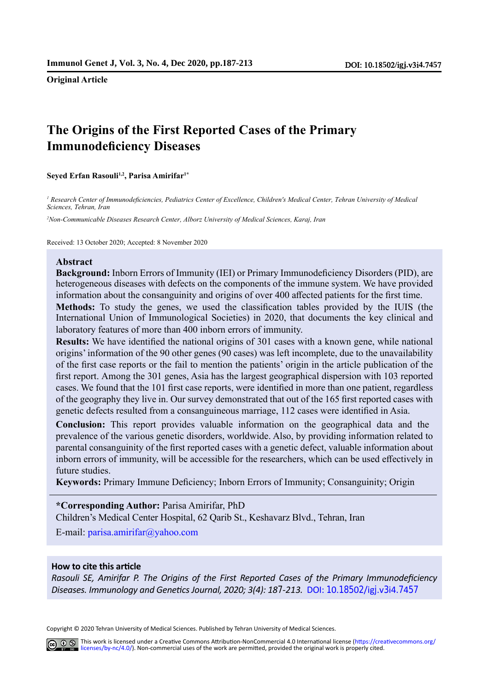**Original Article**

# **The Origins of the First Reported Cases of the Primary Immunodeficiency Diseases**

**Seyed Erfan Rasouli1,2, Parisa Amirifar<sup>1</sup>\***

*<sup>1</sup> Research Center of Immunodeficiencies, Pediatrics Center of Excellence, Children's Medical Center, Tehran University of Medical Sciences, Tehran, Iran*

*<sup>2</sup>Non-Communicable Diseases Research Center, Alborz University of Medical Sciences, Karaj, Iran*

Received: 13 October 2020; Accepted: 8 November 2020

#### **Abstract**

**Background:** Inborn Errors of Immunity (IEI) or Primary Immunodeficiency Disorders (PID), are heterogeneous diseases with defects on the components of the immune system. We have provided information about the consanguinity and origins of over 400 affected patients for the first time.

**Methods:** To study the genes, we used the classification tables provided by the IUIS (the International Union of Immunological Societies) in 2020, that documents the key clinical and laboratory features of more than 400 inborn errors of immunity.

**Results:** We have identified the national origins of 301 cases with a known gene, while national origins' information of the 90 other genes (90 cases) was left incomplete, due to the unavailability of the first case reports or the fail to mention the patients' origin in the article publication of the first report. Among the 301 genes, Asia has the largest geographical dispersion with 103 reported cases. We found that the 101 first case reports, were identified in more than one patient, regardless of the geography they live in. Our survey demonstrated that out of the 165 first reported cases with genetic defects resulted from a consanguineous marriage, 112 cases were identified in Asia.

**Conclusion:** This report provides valuable information on the geographical data and the prevalence of the various genetic disorders, worldwide. Also, by providing information related to parental consanguinity of the first reported cases with a genetic defect, valuable information about inborn errors of immunity, will be accessible for the researchers, which can be used effectively in future studies.

**Keywords:** Primary Immune Deficiency; Inborn Errors of Immunity; Consanguinity; Origin

#### **\*Corresponding Author:** Parisa Amirifar, PhD

Children's Medical Center Hospital, 62 Qarib St., Keshavarz Blvd., Tehran, Iran

E-mail: parisa.amirifar@yahoo.com

#### **How to cite this article**

*Rasouli SE, Amirifar P. The Origins of the First Reported Cases of the Primary Immunodeficiency Diseases. Immunology and Genetics Journal, 2020; 3(4): 187-213.* [DO](http://)I: 10.18502/igj.v3i4.7457

Copyright © 2020 Tehran University of Medical Sciences. Published by Tehran University of Medical Sciences.

This work is licensed under a Creative Commons Attribution-NonCommercial 4.0 International license (https://creativecommons.org/ licenses/by-nc/4.0/). Non-commercial uses of the work are permitted, provided the original work is properly cited.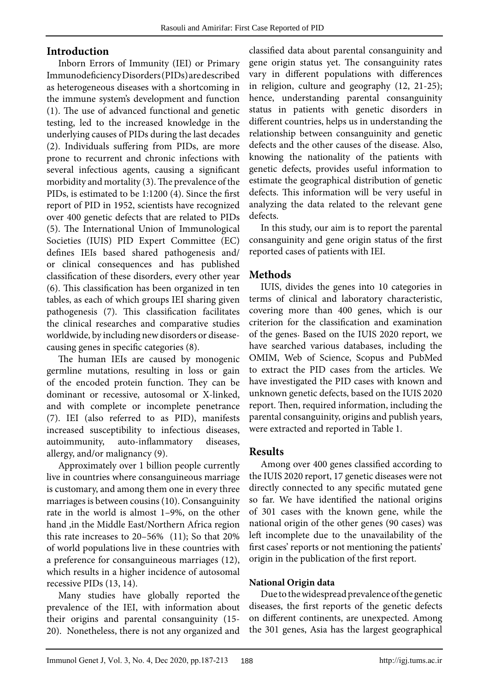# **Introduction**

Inborn Errors of Immunity (IEI) or Primary Immunodeficiency Disorders (PIDs) are described as heterogeneous diseases with a shortcoming in the immune system's development and function (1). The use of advanced functional and genetic testing, led to the increased knowledge in the underlying causes of PIDs during the last decades (2). Individuals suffering from PIDs, are more prone to recurrent and chronic infections with several infectious agents, causing a significant morbidity and mortality (3). The prevalence of the PIDs, is estimated to be 1:1200 (4). Since the first report of PID in 1952, scientists have recognized over 400 genetic defects that are related to PIDs (5). The International Union of Immunological Societies (IUIS) PID Expert Committee (EC) defines IEIs based shared pathogenesis and/ or clinical consequences and has published classification of these disorders, every other year (6). This classification has been organized in ten tables, as each of which groups IEI sharing given pathogenesis (7). This classification facilitates the clinical researches and comparative studies worldwide, by including new disorders or diseasecausing genes in specific categories (8).

The human IEIs are caused by monogenic germline mutations, resulting in loss or gain of the encoded protein function. They can be dominant or recessive, autosomal or X-linked, and with complete or incomplete penetrance (7). IEI (also referred to as PID), manifests increased susceptibility to infectious diseases, autoimmunity, auto-inflammatory diseases, allergy, and/or malignancy (9).

Approximately over 1 billion people currently live in countries where consanguineous marriage is customary, and among them one in every three marriages is between cousins (10). Consanguinity rate in the world is almost 1–9%, on the other hand ,in the Middle East/Northern Africa region this rate increases to 20–56% (11); So that 20% of world populations live in these countries with a preference for consanguineous marriages (12), which results in a higher incidence of autosomal recessive PIDs (13, 14).

Many studies have globally reported the prevalence of the IEI, with information about their origins and parental consanguinity (15- 20). Nonetheless, there is not any organized and

classified data about parental consanguinity and gene origin status yet. The consanguinity rates vary in different populations with differences in religion, culture and geography (12, 21-25); hence, understanding parental consanguinity status in patients with genetic disorders in different countries, helps us in understanding the relationship between consanguinity and genetic defects and the other causes of the disease. Also, knowing the nationality of the patients with genetic defects, provides useful information to estimate the geographical distribution of genetic defects. This information will be very useful in analyzing the data related to the relevant gene defects.

In this study, our aim is to report the parental consanguinity and gene origin status of the first reported cases of patients with IEI.

# **Methods**

IUIS, divides the genes into 10 categories in terms of clinical and laboratory characteristic, covering more than 400 genes, which is our criterion for the classification and examination of the genes. Based on the IUIS 2020 report, we have searched various databases, including the OMIM, Web of Science, Scopus and PubMed to extract the PID cases from the articles. We have investigated the PID cases with known and unknown genetic defects, based on the IUIS 2020 report. Then, required information, including the parental consanguinity, origins and publish years, were extracted and reported in Table 1.

# **Results**

Among over 400 genes classified according to the IUIS 2020 report, 17 genetic diseases were not directly connected to any specific mutated gene so far. We have identified the national origins of 301 cases with the known gene, while the national origin of the other genes (90 cases) was left incomplete due to the unavailability of the first cases' reports or not mentioning the patients' origin in the publication of the first report.

# **National Origin data**

Due to the widespread prevalence of the genetic diseases, the first reports of the genetic defects on different continents, are unexpected. Among the 301 genes, Asia has the largest geographical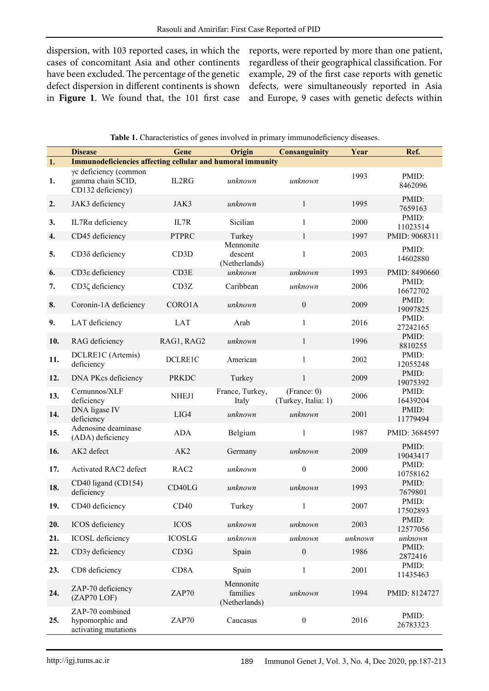dispersion, with 103 reported cases, in which the cases of concomitant Asia and other continents have been excluded. The percentage of the genetic defect dispersion in different continents is shown in **Figure 1**. We found that, the 101 first case reports, were reported by more than one patient, regardless of their geographical classification. For example, 29 of the first case reports with genetic defects, were simultaneously reported in Asia and Europe, 9 cases with genetic defects within

|     | <b>Disease</b>                                                    | Gene              | Origin                                 | <b>Consanguinity</b>               | Year    | Ref.              |
|-----|-------------------------------------------------------------------|-------------------|----------------------------------------|------------------------------------|---------|-------------------|
| 1.  | <b>Immunodeficiencies affecting cellular and humoral immunity</b> |                   |                                        |                                    |         |                   |
| 1.  | γc deficiency (common<br>gamma chain SCID,<br>CD132 deficiency)   | IL2RG             | unknown                                | unknown                            | 1993    | PMID:<br>8462096  |
| 2.  | JAK3 deficiency                                                   | JAK3              | unknown                                | $\mathbf{1}$                       | 1995    | PMID:<br>7659163  |
| 3.  | IL7Rα deficiency                                                  | IL7R              | Sicilian                               | $\mathbf{1}$                       | 2000    | PMID:<br>11023514 |
| 4.  | CD45 deficiency                                                   | <b>PTPRC</b>      | Turkey                                 | $\mathbf{1}$                       | 1997    | PMID: 9068311     |
| 5.  | CD3δ deficiency                                                   | CD <sub>3</sub> D | Mennonite<br>descent<br>(Netherlands)  | $\mathbf{1}$                       | 2003    | PMID:<br>14602880 |
| 6.  | CD3 <sub>8</sub> deficiency                                       | CD3E              | unknown                                | unknown                            | 1993    | PMID: 8490660     |
| 7.  | CD3ζ deficiency                                                   | CD3Z              | Caribbean                              | unknown                            | 2006    | PMID:<br>16672702 |
| 8.  | Coronin-1A deficiency                                             | CORO1A            | unknown                                | $\boldsymbol{0}$                   | 2009    | PMID:<br>19097825 |
| 9.  | LAT deficiency                                                    | <b>LAT</b>        | Arab                                   | $\mathbf{1}$                       | 2016    | PMID:<br>27242165 |
| 10. | RAG deficiency                                                    | RAG1, RAG2        | unknown                                | $\mathbf{1}$                       | 1996    | PMID:<br>8810255  |
| 11. | DCLRE1C (Artemis)<br>deficiency                                   | DCLRE1C           | American                               | $\mathbf{1}$                       | 2002    | PMID:<br>12055248 |
| 12. | DNA PKcs deficiency                                               | <b>PRKDC</b>      | Turkey                                 | $\mathbf{1}$                       | 2009    | PMID:<br>19075392 |
| 13. | Cernunnos/XLF<br>deficiency                                       | NHEJ1             | France, Turkey,<br>Italy               | (France: 0)<br>(Turkey, Italia: 1) | 2006    | PMID:<br>16439204 |
| 14. | DNA ligase IV<br>deficiency                                       | LIG4              | unknown                                | unknown                            | 2001    | PMID:<br>11779494 |
| 15. | Adenosine deaminase<br>(ADA) deficiency                           | <b>ADA</b>        | Belgium                                | $\mathbf{1}$                       | 1987    | PMID: 3684597     |
| 16. | AK2 defect                                                        | AK <sub>2</sub>   | Germany                                | unknown                            | 2009    | PMID:<br>19043417 |
| 17. | <b>Activated RAC2 defect</b>                                      | RAC <sub>2</sub>  | unknown                                | $\boldsymbol{0}$                   | 2000    | PMID:<br>10758162 |
| 18. | CD40 ligand (CD154)<br>deficiency                                 | CD40LG            | unknown                                | unknown                            | 1993    | PMID:<br>7679801  |
| 19. | CD40 deficiency                                                   | CD40              | Turkey                                 | 1                                  | 2007    | PMID:<br>17502893 |
| 20. | ICOS deficiency                                                   | <b>ICOS</b>       | unknown                                | unknown                            | 2003    | PMID:<br>12577056 |
| 21. | <b>ICOSL</b> deficiency                                           | <b>ICOSLG</b>     | unknown                                | unknown                            | unknown | unknown           |
| 22. | $CD3\gamma$ deficiency                                            | CD3G              | Spain                                  | $\boldsymbol{0}$                   | 1986    | PMID:<br>2872416  |
| 23. | CD8 deficiency                                                    | CD <sub>8</sub> A | Spain                                  | $\mathbf{1}$                       | 2001    | PMID:<br>11435463 |
| 24. | ZAP-70 deficiency<br>(ZAP70LOF)                                   | ZAP70             | Mennonite<br>families<br>(Netherlands) | unknown                            | 1994    | PMID: 8124727     |
| 25. | ZAP-70 combined<br>hypomorphic and<br>activating mutations        | ZAP70             | Caucasus                               | $\boldsymbol{0}$                   | 2016    | PMID:<br>26783323 |

| Table 1. Characteristics of genes involved in primary immunodeficiency diseases. |  |  |  |  |
|----------------------------------------------------------------------------------|--|--|--|--|
|                                                                                  |  |  |  |  |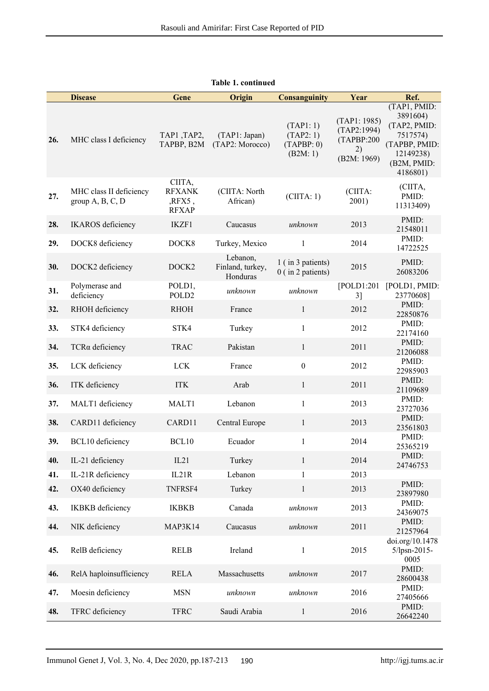|     | <b>Disease</b>                                | Gene                                                    | Origin                                   | <b>Consanguinity</b>                           | Year                                                           | Ref.                                                                                                          |
|-----|-----------------------------------------------|---------------------------------------------------------|------------------------------------------|------------------------------------------------|----------------------------------------------------------------|---------------------------------------------------------------------------------------------------------------|
| 26. | MHC class I deficiency                        | TAP1, TAP2,<br>TAPBP, B2M                               | (TAP1: Japan)<br>(TAP2: Morocco)         | (TAPI: 1)<br>(TAP2:1)<br>(TAPP: 0)<br>(B2M: 1) | (TAPI: 1985)<br>(TAP2:1994)<br>(TAPBP:200<br>2)<br>(B2M: 1969) | (TAP1, PMID:<br>3891604)<br>(TAP2, PMID:<br>7517574)<br>(TAPBP, PMID:<br>12149238)<br>(B2M, PMID:<br>4186801) |
| 27. | MHC class II deficiency<br>group $A, B, C, D$ | CIITA,<br><b>RFXANK</b><br>$,$ RFX5 $,$<br><b>RFXAP</b> | (CIITA: North<br>African)                | (ClITA: 1)                                     | (CIITA:<br>2001)                                               | (CIITA,<br>PMID:<br>11313409)                                                                                 |
| 28. | <b>IKAROS</b> deficiency                      | IKZF1                                                   | Caucasus                                 | unknown                                        | 2013                                                           | PMID:<br>21548011                                                                                             |
| 29. | DOCK8 deficiency                              | DOCK8                                                   | Turkey, Mexico                           | $\mathbf{1}$                                   | 2014                                                           | PMID:<br>14722525                                                                                             |
| 30. | DOCK2 deficiency                              | DOCK <sub>2</sub>                                       | Lebanon,<br>Finland, turkey,<br>Honduras | 1 (in 3 patients)<br>$0$ (in 2 patients)       | 2015                                                           | PMID:<br>26083206                                                                                             |
| 31. | Polymerase and<br>deficiency                  | POLD1,<br>POLD <sub>2</sub>                             | unknown                                  | unknown                                        | [POLD1:201]<br>3]                                              | [POLD1, PMID:<br>23770608]                                                                                    |
| 32. | RHOH deficiency                               | <b>RHOH</b>                                             | France                                   | $\mathbf{1}$                                   | 2012                                                           | PMID:<br>22850876                                                                                             |
| 33. | STK4 deficiency                               | STK4                                                    | Turkey                                   | $\mathbf{1}$                                   | 2012                                                           | PMID:<br>22174160                                                                                             |
| 34. | TCRa deficiency                               | <b>TRAC</b>                                             | Pakistan                                 | $\mathbf{1}$                                   | 2011                                                           | PMID:<br>21206088                                                                                             |
| 35. | LCK deficiency                                | <b>LCK</b>                                              | France                                   | $\boldsymbol{0}$                               | 2012                                                           | PMID:<br>22985903                                                                                             |
| 36. | ITK deficiency                                | <b>ITK</b>                                              | Arab                                     | $\mathbf{1}$                                   | 2011                                                           | PMID:<br>21109689                                                                                             |
| 37. | MALT1 deficiency                              | MALT1                                                   | Lebanon                                  | $\mathbf{1}$                                   | 2013                                                           | PMID:<br>23727036                                                                                             |
| 38. | CARD11 deficiency                             | CARD11                                                  | Central Europe                           | $\mathbf{1}$                                   | 2013                                                           | PMID:<br>23561803                                                                                             |
| 39. | BCL10 deficiency                              | BCL10                                                   | Ecuador                                  | $\mathbf{1}$                                   | 2014                                                           | PMID:<br>25365219                                                                                             |
| 40. | IL-21 deficiency                              | IL21                                                    | Turkey                                   | $\mathbf{1}$                                   | 2014                                                           | PMID:<br>24746753                                                                                             |
| 41. | IL-21R deficiency                             | IL21R                                                   | Lebanon                                  | $\mathbf{1}$                                   | 2013                                                           |                                                                                                               |
| 42. | OX40 deficiency                               | TNFRSF4                                                 | Turkey                                   | $\mathbf{1}$                                   | 2013                                                           | PMID:<br>23897980                                                                                             |
| 43. | <b>IKBKB</b> deficiency                       | <b>IKBKB</b>                                            | Canada                                   | unknown                                        | 2013                                                           | PMID:<br>24369075                                                                                             |
| 44. | NIK deficiency                                | MAP3K14                                                 | Caucasus                                 | unknown                                        | 2011                                                           | PMID:<br>21257964                                                                                             |
| 45. | RelB deficiency                               | <b>RELB</b>                                             | Ireland                                  | $\mathbf{1}$                                   | 2015                                                           | doi.org/10.1478<br>5/lpsn-2015-<br>0005                                                                       |
| 46. | RelA haploinsufficiency                       | <b>RELA</b>                                             | Massachusetts                            | unknown                                        | 2017                                                           | PMID:<br>28600438                                                                                             |
| 47. | Moesin deficiency                             | <b>MSN</b>                                              | unknown                                  | unknown                                        | 2016                                                           | PMID:<br>27405666                                                                                             |
| 48. | TFRC deficiency                               | <b>TFRC</b>                                             | Saudi Arabia                             | $\mathbf{1}$                                   | 2016                                                           | PMID:<br>26642240                                                                                             |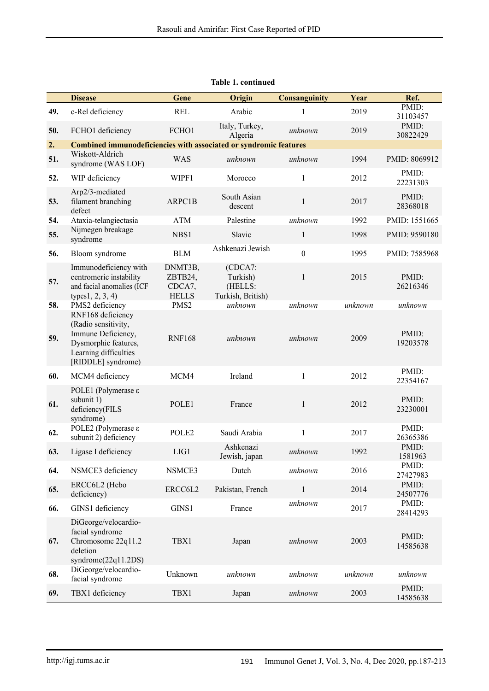|     | <b>Disease</b>                                                                                                                        | Gene                                         | Origin                                              | <b>Consanguinity</b> | Year    | Ref.              |
|-----|---------------------------------------------------------------------------------------------------------------------------------------|----------------------------------------------|-----------------------------------------------------|----------------------|---------|-------------------|
| 49. | c-Rel deficiency                                                                                                                      | <b>REL</b>                                   | Arabic                                              | $\mathbf{1}$         | 2019    | PMID:<br>31103457 |
| 50. | FCHO1 deficiency                                                                                                                      | FCHO1                                        | Italy, Turkey,<br>Algeria                           | unknown              | 2019    | PMID:<br>30822429 |
| 2.  | Combined immunodeficiencies with associated or syndromic features                                                                     |                                              |                                                     |                      |         |                   |
| 51. | Wiskott-Aldrich<br>syndrome (WAS LOF)                                                                                                 | <b>WAS</b>                                   | unknown                                             | unknown              | 1994    | PMID: 8069912     |
| 52. | WIP deficiency                                                                                                                        | WIPF1                                        | Morocco                                             | $\mathbf{1}$         | 2012    | PMID:<br>22231303 |
| 53. | Arp2/3-mediated<br>filament branching<br>defect                                                                                       | ARPC1B                                       | South Asian<br>descent                              | $\mathbf{1}$         | 2017    | PMID:<br>28368018 |
| 54. | Ataxia-telangiectasia                                                                                                                 | <b>ATM</b>                                   | Palestine                                           | unknown              | 1992    | PMID: 1551665     |
| 55. | Nijmegen breakage<br>syndrome                                                                                                         | NBS1                                         | Slavic                                              | $\mathbf{1}$         | 1998    | PMID: 9590180     |
| 56. | Bloom syndrome                                                                                                                        | <b>BLM</b>                                   | Ashkenazi Jewish                                    | $\mathbf{0}$         | 1995    | PMID: 7585968     |
| 57. | Immunodeficiency with<br>centromeric instability<br>and facial anomalies (ICF<br>types $1, 2, 3, 4$ )                                 | DNMT3B,<br>ZBTB24,<br>CDCA7,<br><b>HELLS</b> | (CDCA7:<br>Turkish)<br>(HELLS:<br>Turkish, British) | $\mathbf{1}$         | 2015    | PMID:<br>26216346 |
| 58. | PMS2 deficiency                                                                                                                       | PMS <sub>2</sub>                             | unknown                                             | unknown              | unknown | unknown           |
| 59. | RNF168 deficiency<br>(Radio sensitivity,<br>Immune Deficiency,<br>Dysmorphic features,<br>Learning difficulties<br>[RIDDLE] syndrome) | <b>RNF168</b>                                | unknown                                             | unknown              | 2009    | PMID:<br>19203578 |
| 60. | MCM4 deficiency                                                                                                                       | MCM4                                         | Ireland                                             | 1                    | 2012    | PMID:<br>22354167 |
| 61. | POLE1 (Polymerase ε<br>subunit 1)<br>deficiency(FILS<br>syndrome)                                                                     | POLE1                                        | France                                              | $\mathbf{1}$         | 2012    | PMID:<br>23230001 |
| 62. | POLE2 (Polymerase ε<br>subunit 2) deficiency                                                                                          | POLE2                                        | Saudi Arabia                                        | $\mathbf{1}$         | 2017    | PMID:<br>26365386 |
| 63. | Ligase I deficiency                                                                                                                   | LIG1                                         | Ashkenazi<br>Jewish, japan                          | unknown              | 1992    | PMID:<br>1581963  |
| 64. | NSMCE3 deficiency                                                                                                                     | NSMCE3                                       | Dutch                                               | unknown              | 2016    | PMID:<br>27427983 |
| 65. | ERCC6L2 (Hebo<br>deficiency)                                                                                                          | ERCC6L2                                      | Pakistan, French                                    | $\mathbf{1}$         | 2014    | PMID:<br>24507776 |
| 66. | GINS1 deficiency                                                                                                                      | GINS1                                        | France                                              | unknown              | 2017    | PMID:<br>28414293 |
| 67. | DiGeorge/velocardio-<br>facial syndrome<br>Chromosome 22q11.2<br>deletion<br>syndrome $(22q11.2DS)$                                   | TBX1                                         | Japan                                               | unknown              | 2003    | PMID:<br>14585638 |
| 68. | DiGeorge/velocardio-<br>facial syndrome                                                                                               | Unknown                                      | unknown                                             | unknown              | unknown | unknown           |
| 69. | TBX1 deficiency                                                                                                                       | TBX1                                         | Japan                                               | unknown              | 2003    | PMID:<br>14585638 |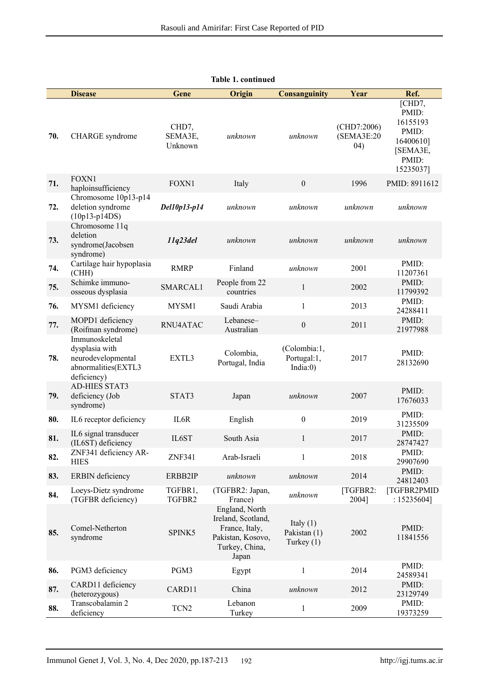|     | <b>Disease</b>                                                                               | Gene                        | Origin                                                                                                 | <b>Consanguinity</b>                        | Year                              | Ref.                                                                                |
|-----|----------------------------------------------------------------------------------------------|-----------------------------|--------------------------------------------------------------------------------------------------------|---------------------------------------------|-----------------------------------|-------------------------------------------------------------------------------------|
| 70. | CHARGE syndrome                                                                              | CHD7,<br>SEMA3E,<br>Unknown | unknown                                                                                                | unknown                                     | (CHD7:2006)<br>(SEMA3E:20<br>(04) | [CHD7,<br>PMID:<br>16155193<br>PMID:<br>16400610]<br>[SEMA3E,<br>PMID:<br>15235037] |
| 71. | <b>FOXN1</b><br>haploinsufficiency                                                           | <b>FOXN1</b>                | Italy                                                                                                  | $\boldsymbol{0}$                            | 1996                              | PMID: 8911612                                                                       |
| 72. | Chromosome 10p13-p14<br>deletion syndrome<br>$(10p13-p14DS)$                                 | Del10p13-p14                | unknown                                                                                                | unknown                                     | unknown                           | unknown                                                                             |
| 73. | Chromosome 11q<br>deletion<br>syndrome(Jacobsen<br>syndrome)                                 | 11q23del                    | unknown                                                                                                | unknown                                     | unknown                           | unknown                                                                             |
| 74. | Cartilage hair hypoplasia<br>(CHH)                                                           | <b>RMRP</b>                 | Finland                                                                                                | unknown                                     | 2001                              | PMID:<br>11207361                                                                   |
| 75. | Schimke immuno-<br>osseous dysplasia                                                         | SMARCAL1                    | People from 22<br>countries                                                                            | $\mathbf{1}$                                | 2002                              | PMID:<br>11799392                                                                   |
| 76. | MYSM1 deficiency                                                                             | MYSM1                       | Saudi Arabia                                                                                           | 1                                           | 2013                              | PMID:<br>24288411                                                                   |
| 77. | MOPD1 deficiency<br>(Roifman syndrome)                                                       | RNU4ATAC                    | Lebanese-<br>Australian                                                                                | $\boldsymbol{0}$                            | 2011                              | PMID:<br>21977988                                                                   |
| 78. | Immunoskeletal<br>dysplasia with<br>neurodevelopmental<br>abnormalities(EXTL3<br>deficiency) | EXTL3                       | Colombia,<br>Portugal, India                                                                           | (Colombia:1,<br>Portugal:1,<br>India: $0$ ) | 2017                              | PMID:<br>28132690                                                                   |
| 79. | <b>AD-HIES STAT3</b><br>deficiency (Job<br>syndrome)                                         | STAT3                       | Japan                                                                                                  | unknown                                     | 2007                              | PMID:<br>17676033                                                                   |
| 80. | IL6 receptor deficiency                                                                      | IL6R                        | English                                                                                                | $\mathbf{0}$                                | 2019                              | PMID:<br>31235509                                                                   |
| 81. | IL6 signal transducer<br>(IL6ST) deficiency                                                  | IL6ST                       | South Asia                                                                                             | 1                                           | 2017                              | PMID:<br>28747427                                                                   |
| 82. | ZNF341 deficiency AR-<br><b>HIES</b>                                                         | ZNF341                      | Arab-Israeli                                                                                           | 1                                           | 2018                              | PMID:<br>29907690                                                                   |
| 83. | <b>ERBIN</b> deficiency                                                                      | ERBB2IP                     | unknown                                                                                                | unknown                                     | 2014                              | PMID:<br>24812403                                                                   |
| 84. | Loeys-Dietz syndrome<br>(TGFBR deficiency)                                                   | TGFBR1,<br>TGFBR2           | (TGFBR2: Japan,<br>France)                                                                             | unknown                                     | [TGFBR2:<br>2004]                 | [TGFBR2PMID<br>$: 15235604$ ]                                                       |
| 85. | Comel-Netherton<br>syndrome                                                                  | SPINK5                      | England, North<br>Ireland, Scotland,<br>France, Italy,<br>Pakistan, Kosovo,<br>Turkey, China,<br>Japan | Italy $(1)$<br>Pakistan (1)<br>Turkey $(1)$ | 2002                              | PMID:<br>11841556                                                                   |
| 86. | PGM3 deficiency                                                                              | PGM3                        | Egypt                                                                                                  | $\mathbf{1}$                                | 2014                              | PMID:<br>24589341                                                                   |
| 87. | CARD11 deficiency<br>(heterozygous)                                                          | CARD11                      | China                                                                                                  | unknown                                     | 2012                              | PMID:<br>23129749                                                                   |
| 88. | Transcobalamin 2<br>deficiency                                                               | TCN <sub>2</sub>            | Lebanon<br>Turkey                                                                                      | $\mathbf{1}$                                | 2009                              | PMID:<br>19373259                                                                   |

**Table 1. continued**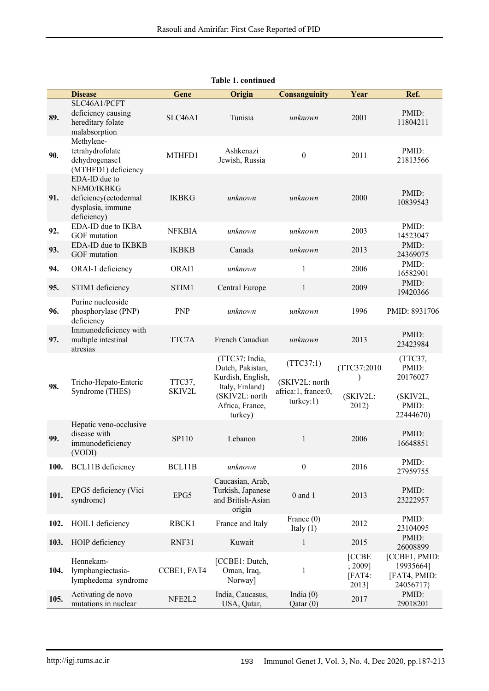|      | <b>Disease</b>                                                                           | Gene             | Origin                                                                                                                     | <b>Consanguinity</b>                                            | Year                                       | Ref.                                                           |
|------|------------------------------------------------------------------------------------------|------------------|----------------------------------------------------------------------------------------------------------------------------|-----------------------------------------------------------------|--------------------------------------------|----------------------------------------------------------------|
| 89.  | SLC46A1/PCFT<br>deficiency causing<br>hereditary folate<br>malabsorption                 | SLC46A1          | Tunisia                                                                                                                    | unknown                                                         | 2001                                       | PMID:<br>11804211                                              |
| 90.  | Methylene-<br>tetrahydrofolate<br>dehydrogenase1<br>(MTHFD1) deficiency                  | MTHFD1           | Ashkenazi<br>Jewish, Russia                                                                                                | $\boldsymbol{0}$                                                | 2011                                       | PMID:<br>21813566                                              |
| 91.  | EDA-ID due to<br>NEMO/IKBKG<br>deficiency(ectodermal<br>dysplasia, immune<br>deficiency) | <b>IKBKG</b>     | unknown                                                                                                                    | unknown                                                         | 2000                                       | PMID:<br>10839543                                              |
| 92.  | EDA-ID due to IKBA<br>GOF mutation                                                       | <b>NFKBIA</b>    | unknown                                                                                                                    | unknown                                                         | 2003                                       | PMID:<br>14523047                                              |
| 93.  | EDA-ID due to IKBKB<br>GOF mutation                                                      | <b>IKBKB</b>     | Canada                                                                                                                     | unknown                                                         | 2013                                       | PMID:<br>24369075                                              |
| 94.  | ORAI-1 deficiency                                                                        | ORAI1            | unknown                                                                                                                    | 1                                                               | 2006                                       | PMID:<br>16582901                                              |
| 95.  | STIM1 deficiency                                                                         | STIM1            | Central Europe                                                                                                             | $\mathbf{1}$                                                    | 2009                                       | PMID:<br>19420366                                              |
| 96.  | Purine nucleoside<br>phosphorylase (PNP)<br>deficiency                                   | <b>PNP</b>       | unknown                                                                                                                    | unknown                                                         | 1996                                       | PMID: 8931706                                                  |
| 97.  | Immunodeficiency with<br>multiple intestinal<br>atresias                                 | TTC7A            | French Canadian                                                                                                            | unknown                                                         | 2013                                       | PMID:<br>23423984                                              |
| 98.  | Tricho-Hepato-Enteric<br>Syndrome (THES)                                                 | TTC37,<br>SKIV2L | (TTC37: India,<br>Dutch, Pakistan,<br>Kurdish, English,<br>Italy, Finland)<br>(SKIV2L: north<br>Africa, France,<br>turkey) | (TTC37:1)<br>(SKIV2L: north<br>africa:1, france:0,<br>turkey:1) | (TTC37:2010)<br>(SKIV2L:<br>2012)          | (TTC37,<br>PMID:<br>20176027<br>(SKIV2L,<br>PMID:<br>22444670) |
| 99.  | Hepatic veno-occlusive<br>disease with<br>immunodeficiency<br>(VODI)                     | SP110            | Lebanon                                                                                                                    | 1                                                               | 2006                                       | PMID:<br>16648851                                              |
| 100. | <b>BCL11B</b> deficiency                                                                 | BCL11B           | unknown                                                                                                                    | $\overline{0}$                                                  | 2016                                       | PMID:<br>27959755                                              |
| 101. | EPG5 deficiency (Vici<br>syndrome)                                                       | EPG5             | Caucasian, Arab,<br>Turkish, Japanese<br>and British-Asian<br>origin                                                       | $0$ and $1$                                                     | 2013                                       | PMID:<br>23222957                                              |
| 102. | HOIL1 deficiency                                                                         | RBCK1            | France and Italy                                                                                                           | France $(0)$<br>Italy $(1)$                                     | 2012                                       | PMID:<br>23104095                                              |
| 103. | HOIP deficiency                                                                          | RNF31            | Kuwait                                                                                                                     | $\mathbf{1}$                                                    | 2015                                       | PMID:<br>26008899                                              |
| 104. | Hennekam-<br>lymphangiectasia-<br>lymphedema syndrome                                    | CCBE1, FAT4      | [CCBE1: Dutch,<br>Oman, Iraq,<br>Norway]                                                                                   | $\mathbf{1}$                                                    | <b>[CCBE</b><br>; 2009]<br>[FAT4:<br>2013] | [CCBE1, PMID:<br>19935664]<br>[FAT4, PMID:<br>24056717}        |
| 105. | Activating de novo<br>mutations in nuclear                                               | NFE2L2           | India, Caucasus,<br>USA, Qatar,                                                                                            | India $(0)$<br>Qatar(0)                                         | 2017                                       | PMID:<br>29018201                                              |

| <b>Table 1. continued</b> |  |  |
|---------------------------|--|--|
|---------------------------|--|--|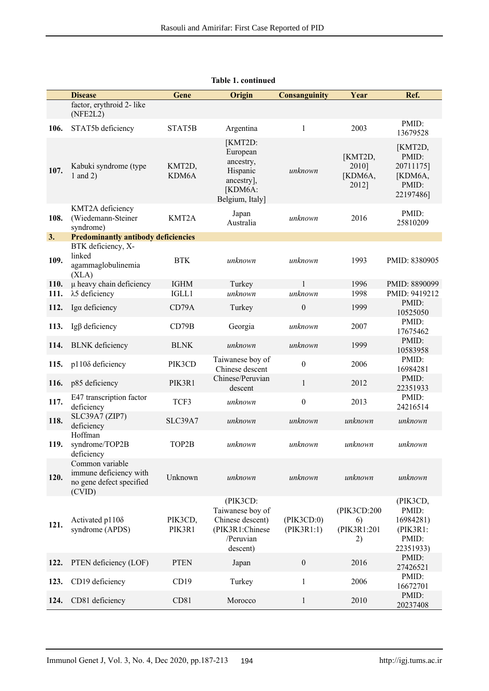|      | <b>Disease</b>                                                                  | Gene              | Origin                                                                                       | <b>Consanguinity</b>     | Year                                   | Ref.                                                                 |
|------|---------------------------------------------------------------------------------|-------------------|----------------------------------------------------------------------------------------------|--------------------------|----------------------------------------|----------------------------------------------------------------------|
|      | factor, erythroid 2- like<br>(NFE2L2)                                           |                   |                                                                                              |                          |                                        |                                                                      |
| 106. | STAT5b deficiency                                                               | STAT5B            | Argentina                                                                                    | $\mathbf{1}$             | 2003                                   | PMID:<br>13679528                                                    |
| 107. | Kabuki syndrome (type<br>1 and 2)                                               | KMT2D,<br>KDM6A   | [KMT2D:<br>European<br>ancestry,<br>Hispanic<br>ancestry],<br>[KDM6A:<br>Belgium, Italy]     | unknown                  | [KMT2D,<br>2010]<br>[KDM6A,<br>2012]   | [KMT2D,<br>PMID:<br>20711175]<br>[KDM6A,<br>PMID:<br>22197486]       |
| 108. | KMT2A deficiency<br>(Wiedemann-Steiner<br>syndrome)                             | KMT2A             | Japan<br>Australia                                                                           | unknown                  | 2016                                   | PMID:<br>25810209                                                    |
| 3.   | <b>Predominantly antibody deficiencies</b>                                      |                   |                                                                                              |                          |                                        |                                                                      |
| 109. | BTK deficiency, X-<br>linked<br>agammaglobulinemia<br>(XLA)                     | <b>BTK</b>        | unknown                                                                                      | unknown                  | 1993                                   | PMID: 8380905                                                        |
| 110. | µ heavy chain deficiency                                                        | <b>IGHM</b>       | Turkey                                                                                       | 1                        | 1996                                   | PMID: 8890099                                                        |
| 111. | λ5 deficiency                                                                   | IGLL1             | unknown                                                                                      | unknown                  | 1998                                   | PMID: 9419212                                                        |
| 112. | Igα deficiency                                                                  | CD79A             | Turkey                                                                                       | $\mathbf{0}$             | 1999                                   | PMID:<br>10525050                                                    |
| 113. | Igβ deficiency                                                                  | CD79B             | Georgia                                                                                      | unknown                  | 2007                                   | PMID:<br>17675462                                                    |
| 114. | <b>BLNK</b> deficiency                                                          | <b>BLNK</b>       | unknown                                                                                      | unknown                  | 1999                                   | PMID:<br>10583958                                                    |
| 115. | p1108 deficiency                                                                | PIK3CD            | Taiwanese boy of<br>Chinese descent                                                          | $\boldsymbol{0}$         | 2006                                   | PMID:<br>16984281                                                    |
| 116. | p85 deficiency                                                                  | PIK3R1            | Chinese/Peruvian<br>descent                                                                  | $\mathbf{1}$             | 2012                                   | PMID:<br>22351933                                                    |
| 117. | E47 transcription factor<br>deficiency                                          | TCF3              | unknown                                                                                      | $\boldsymbol{0}$         | 2013                                   | PMID:<br>24216514                                                    |
| 118. | SLC39A7 (ZIP7)<br>deficiency                                                    | SLC39A7           | unknown                                                                                      | unknown                  | unknown                                | unknown                                                              |
| 119. | Hoffman<br>syndrome/TOP2B<br>deficiency                                         | TOP2B             | unknown                                                                                      | unknown                  | unknown                                | unknown                                                              |
| 120. | Common variable<br>immune deficiency with<br>no gene defect specified<br>(CVID) | Unknown           | unknown                                                                                      | unknown                  | unknown                                | unknown                                                              |
| 121. | Activated p1108<br>syndrome (APDS)                                              | PIK3CD,<br>PIK3R1 | (PIK3CD:<br>Taiwanese boy of<br>Chinese descent)<br>(PIK3R1:Chinese<br>/Peruvian<br>descent) | (PIK3CD:0)<br>(PIK3R1:1) | (PIK3CD:200<br>6)<br>(PIK3R1:201<br>2) | (PIK3CD,<br>PMID:<br>16984281)<br>$(PIK3R1)$ :<br>PMID:<br>22351933) |
| 122. | PTEN deficiency (LOF)                                                           | <b>PTEN</b>       | Japan                                                                                        | $\boldsymbol{0}$         | 2016                                   | PMID:<br>27426521                                                    |
| 123. | CD19 deficiency                                                                 | CD19              | Turkey                                                                                       | $\mathbf{1}$             | 2006                                   | PMID:<br>16672701                                                    |
| 124. | CD81 deficiency                                                                 | CD81              | Morocco                                                                                      | $\mathbf{1}$             | 2010                                   | PMID:<br>20237408                                                    |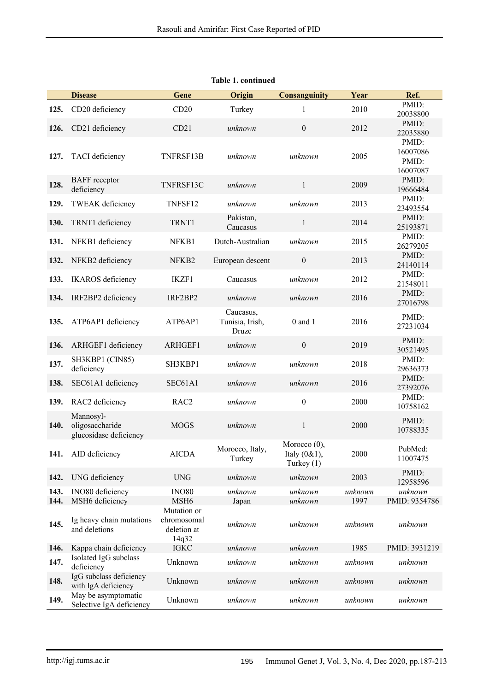|      | <b>Disease</b>                                         | Gene                                | Origin                                | <b>Consanguinity</b>                               | Year    | Ref.                                   |
|------|--------------------------------------------------------|-------------------------------------|---------------------------------------|----------------------------------------------------|---------|----------------------------------------|
| 125. | CD20 deficiency                                        | CD20                                | Turkey                                | $\mathbf{1}$                                       | 2010    | PMID:<br>20038800                      |
| 126. | CD21 deficiency                                        | CD21                                | unknown                               | $\boldsymbol{0}$                                   | 2012    | PMID:<br>22035880                      |
| 127. | TACI deficiency                                        | TNFRSF13B                           | unknown                               | unknown                                            | 2005    | PMID:<br>16007086<br>PMID:<br>16007087 |
| 128. | <b>BAFF</b> receptor<br>deficiency                     | TNFRSF13C                           | unknown                               | $\mathbf{1}$                                       | 2009    | PMID:<br>19666484                      |
| 129. | <b>TWEAK</b> deficiency                                | TNFSF12                             | unknown                               | unknown                                            | 2013    | PMID:<br>23493554                      |
| 130. | TRNT1 deficiency                                       | TRNT1                               | Pakistan,<br>Caucasus                 | $\mathbf{1}$                                       | 2014    | PMID:<br>25193871                      |
| 131. | NFKB1 deficiency                                       | NFKB1                               | Dutch-Australian                      | unknown                                            | 2015    | PMID:<br>26279205                      |
| 132. | NFKB2 deficiency                                       | NFKB2                               | European descent                      | $\mathbf{0}$                                       | 2013    | PMID:<br>24140114                      |
| 133. | <b>IKAROS</b> deficiency                               | IKZF1                               | Caucasus                              | unknown                                            | 2012    | PMID:<br>21548011                      |
| 134. | IRF2BP2 deficiency                                     | IRF2BP2                             | unknown                               | unknown                                            | 2016    | PMID:<br>27016798                      |
| 135. | ATP6AP1 deficiency                                     | ATP6AP1                             | Caucasus,<br>Tunisia, Irish,<br>Druze | $0$ and $1$                                        | 2016    | PMID:<br>27231034                      |
| 136. | ARHGEF1 deficiency                                     | ARHGEF1                             | unknown                               | $\boldsymbol{0}$                                   | 2019    | PMID:<br>30521495                      |
| 137. | SH3KBP1 (CIN85)<br>deficiency                          | SH3KBP1                             | unknown                               | unknown                                            | 2018    | PMID:<br>29636373                      |
| 138. | SEC61A1 deficiency                                     | SEC61A1                             | unknown                               | unknown                                            | 2016    | PMID:<br>27392076                      |
| 139. | RAC2 deficiency                                        | RAC <sub>2</sub>                    | unknown                               | $\boldsymbol{0}$                                   | 2000    | PMID:<br>10758162                      |
| 140. | Mannosyl-<br>oligosaccharide<br>glucosidase deficiency | <b>MOGS</b>                         | unknown                               | $\,1$                                              | 2000    | PMID:<br>10788335                      |
| 141. | AID deficiency                                         | <b>AICDA</b>                        | Morocco, Italy,<br>Turkey             | Morocco $(0)$ ,<br>Italy $(0&1)$ ,<br>Turkey $(1)$ | 2000    | PubMed:<br>11007475                    |
| 142. | UNG deficiency                                         | <b>UNG</b>                          | unknown                               | unknown                                            | 2003    | PMID:<br>12958596                      |
| 143. | INO80 deficiency                                       | <b>INO80</b>                        | unknown                               | unknown                                            | unknown | unknown<br>PMID: 9354786               |
| 144. | MSH6 deficiency                                        | MSH <sub>6</sub><br>Mutation or     | Japan                                 | unknown                                            | 1997    |                                        |
| 145. | Ig heavy chain mutations<br>and deletions              | chromosomal<br>deletion at<br>14q32 | unknown                               | unknown                                            | unknown | unknown                                |
| 146. | Kappa chain deficiency                                 | <b>IGKC</b>                         | unknown                               | unknown                                            | 1985    | PMID: 3931219                          |
| 147. | Isolated IgG subclass<br>deficiency                    | Unknown                             | unknown                               | unknown                                            | unknown | unknown                                |
| 148. | IgG subclass deficiency<br>with IgA deficiency         | Unknown                             | unknown                               | unknown                                            | unknown | unknown                                |
| 149. | May be asymptomatic<br>Selective IgA deficiency        | Unknown                             | unknown                               | unknown                                            | unknown | unknown                                |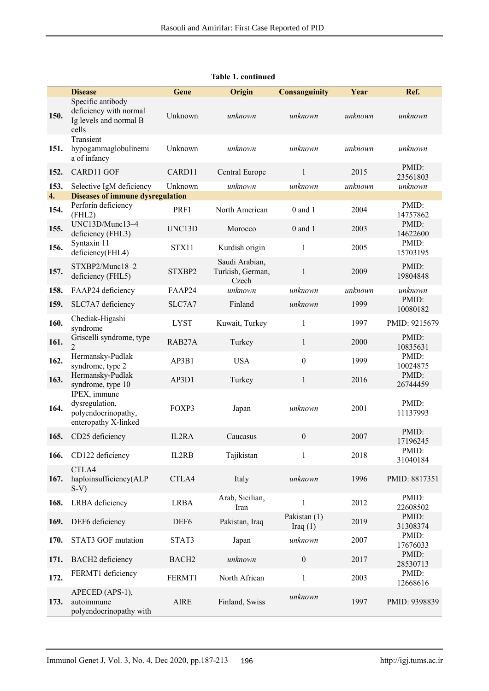|      | <b>Disease</b>                                                                 | Gene              | Origin                                      | <b>Consanguinity</b>       | Year    | Ref.              |
|------|--------------------------------------------------------------------------------|-------------------|---------------------------------------------|----------------------------|---------|-------------------|
| 150. | Specific antibody<br>deficiency with normal<br>Ig levels and normal B<br>cells | Unknown           | unknown                                     | unknown                    | unknown | unknown           |
| 151. | Transient<br>hypogammaglobulinemi<br>a of infancy                              | Unknown           | unknown                                     | unknown                    | unknown | unknown           |
| 152. | CARD11 GOF                                                                     | CARD11            | Central Europe                              | $\mathbf{1}$               | 2015    | PMID:<br>23561803 |
| 153. | Selective IgM deficiency                                                       | Unknown           | unknown                                     | unknown                    | unknown | unknown           |
| 4.   | <b>Diseases of immune dysregulation</b>                                        |                   |                                             |                            |         |                   |
| 154. | Perforin deficiency<br>(FHL2)                                                  | PRF1              | North American                              | $0$ and $1$                | 2004    | PMID:<br>14757862 |
| 155. | UNC13D/Munc13-4<br>deficiency (FHL3)                                           | UNC13D            | Morocco                                     | $0$ and $1$                | 2003    | PMID:<br>14622600 |
| 156. | Syntaxin 11<br>deficiency(FHL4)                                                | STX11             | Kurdish origin                              | $\mathbf{1}$               | 2005    | PMID:<br>15703195 |
| 157. | STXBP2/Munc18-2<br>deficiency (FHL5)                                           | STXBP2            | Saudi Arabian,<br>Turkish, German,<br>Czech | $\mathbf{1}$               | 2009    | PMID:<br>19804848 |
| 158. | FAAP24 deficiency                                                              | FAAP24            | unknown                                     | unknown                    | unknown | unknown           |
| 159. | SLC7A7 deficiency                                                              | SLC7A7            | Finland                                     | unknown                    | 1999    | PMID:<br>10080182 |
| 160. | Chediak-Higashi<br>syndrome                                                    | <b>LYST</b>       | Kuwait, Turkey                              | 1                          | 1997    | PMID: 9215679     |
| 161. | Griscelli syndrome, type<br>$\overline{2}$                                     | RAB27A            | Turkey                                      | $\mathbf{1}$               | 2000    | PMID:<br>10835631 |
| 162. | Hermansky-Pudlak<br>syndrome, type 2                                           | AP3B1             | <b>USA</b>                                  | $\boldsymbol{0}$           | 1999    | PMID:<br>10024875 |
| 163. | Hermansky-Pudlak<br>syndrome, type 10                                          | AP3D1             | Turkey                                      | $\mathbf{1}$               | 2016    | PMID:<br>26744459 |
| 164. | IPEX, immune<br>dysregulation,<br>polyendocrinopathy,<br>enteropathy X-linked  | FOXP3             | Japan                                       | unknown                    | 2001    | PMID:<br>11137993 |
| 165. | CD25 deficiency                                                                | IL2RA             | Caucasus                                    | $\boldsymbol{0}$           | 2007    | PMID:<br>17196245 |
| 166. | CD122 deficiency                                                               | IL2RB             | Tajikistan                                  | $\mathbf{1}$               | 2018    | PMID:<br>31040184 |
| 167. | CTLA4<br>haploinsufficiency(ALP<br>$S-V$                                       | CTLA4             | Italy                                       | unknown                    | 1996    | PMID: 8817351     |
| 168. | LRBA deficiency                                                                | <b>LRBA</b>       | Arab, Sicilian,<br>Iran                     | $\mathbf{1}$               | 2012    | PMID:<br>22608502 |
| 169. | DEF6 deficiency                                                                | DEF <sub>6</sub>  | Pakistan, Iraq                              | Pakistan (1)<br>Iraq $(1)$ | 2019    | PMID:<br>31308374 |
| 170. | STAT3 GOF mutation                                                             | STAT3             | Japan                                       | unknown                    | 2007    | PMID:<br>17676033 |
| 171. | BACH2 deficiency                                                               | BACH <sub>2</sub> | unknown                                     | $\boldsymbol{0}$           | 2017    | PMID:<br>28530713 |
| 172. | FERMT1 deficiency                                                              | FERMT1            | North African                               | $\,1$                      | 2003    | PMID:<br>12668616 |
| 173. | APECED (APS-1),<br>autoimmune<br>polyendocrinopathy with                       | AIRE              | Finland, Swiss                              | unknown                    | 1997    | PMID: 9398839     |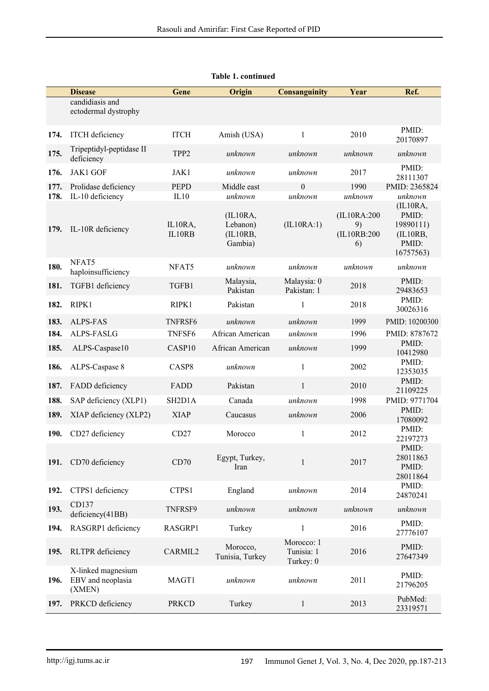|              | <b>Disease</b>                                    | <b>Gene</b>                      | Origin                                                 | <b>Consanguinity</b>                  | Year                                               | Ref.                                                                        |
|--------------|---------------------------------------------------|----------------------------------|--------------------------------------------------------|---------------------------------------|----------------------------------------------------|-----------------------------------------------------------------------------|
|              | candidiasis and<br>ectodermal dystrophy           |                                  |                                                        |                                       |                                                    |                                                                             |
| 174.         | <b>ITCH</b> deficiency                            | <b>ITCH</b>                      | Amish (USA)                                            | $\mathbf{1}$                          | 2010                                               | PMID:<br>20170897                                                           |
| 175.         | Tripeptidyl-peptidase II<br>deficiency            | TPP <sub>2</sub>                 | unknown                                                | unknown                               | unknown                                            | unknown                                                                     |
| 176.         | <b>JAK1 GOF</b>                                   | JAK1                             | unknown                                                | unknown                               | 2017                                               | PMID:<br>28111307                                                           |
| 177.         | Prolidase deficiency                              | <b>PEPD</b>                      | Middle east                                            | $\theta$                              | 1990                                               | PMID: 2365824                                                               |
| 178.<br>179. | IL-10 deficiency<br>IL-10R deficiency             | IL10<br>IL10RA,<br>IL10RB        | unknown<br>(IL10RA,<br>Lebanon)<br>(IL10RB,<br>Gambia) | unknown<br>(IL10RA:1)                 | unknown<br>(IL10RA:200)<br>9)<br>(IL10RB:200<br>6) | unknown<br>(IL10RA,<br>PMID:<br>19890111)<br>(IL10RB,<br>PMID:<br>16757563) |
| 180.         | NFAT5<br>haploinsufficiency                       | NFAT5                            | unknown                                                | unknown                               | unknown                                            | unknown                                                                     |
| 181.         | TGFB1 deficiency                                  | TGFB1                            | Malaysia,<br>Pakistan                                  | Malaysia: 0<br>Pakistan: 1            | 2018                                               | PMID:<br>29483653                                                           |
| 182.         | RIPK1                                             | RIPK1                            | Pakistan                                               | 1                                     | 2018                                               | PMID:<br>30026316                                                           |
| 183.         | <b>ALPS-FAS</b>                                   | TNFRSF6                          | unknown                                                | unknown                               | 1999                                               | PMID: 10200300                                                              |
| 184.         | ALPS-FASLG                                        | TNFSF6                           | African American                                       | unknown                               | 1996                                               | PMID: 8787672                                                               |
| 185.         | ALPS-Caspase10                                    | CASP10                           | African American                                       | unknown                               | 1999                                               | PMID:<br>10412980                                                           |
| 186.         | ALPS-Caspase 8                                    | CASP8                            | unknown                                                | $\mathbf{1}$                          | 2002                                               | PMID:<br>12353035                                                           |
| 187.         | FADD deficiency                                   | FADD                             | Pakistan                                               | $\mathbf{1}$                          | 2010                                               | PMID:<br>21109225                                                           |
| 188.         | SAP deficiency (XLP1)                             | SH <sub>2</sub> D <sub>1</sub> A | Canada                                                 | unknown                               | 1998                                               | PMID: 9771704                                                               |
| 189.         | XIAP deficiency (XLP2)                            | <b>XIAP</b>                      | Caucasus                                               | unknown                               | 2006                                               | PMID:<br>17080092                                                           |
| 190.         | CD27 deficiency                                   | CD27                             | Morocco                                                | $\mathbf{1}$                          | 2012                                               | PMID:<br>22197273                                                           |
| <b>191.</b>  | CD70 deficiency                                   | CD70                             | Egypt, Turkey,<br>Iran                                 | $\mathbf{1}$                          | 2017                                               | PMID:<br>28011863<br>PMID:<br>28011864                                      |
| 192.         | CTPS1 deficiency                                  | CTPS1                            | England                                                | unknown                               | 2014                                               | PMID:<br>24870241                                                           |
| 193.         | CD137<br>deficiency(41BB)                         | TNFRSF9                          | unknown                                                | unknown                               | unknown                                            | unknown                                                                     |
| 194.         | RASGRP1 deficiency                                | RASGRP1                          | Turkey                                                 | $\mathbf{1}$                          | 2016                                               | PMID:<br>27776107                                                           |
| 195.         | RLTPR deficiency                                  | CARMIL2                          | Morocco,<br>Tunisia, Turkey                            | Morocco: 1<br>Tunisia: 1<br>Turkey: 0 | 2016                                               | PMID:<br>27647349                                                           |
| 196.         | X-linked magnesium<br>EBV and neoplasia<br>(XMEN) | MAGT1                            | unknown                                                | unknown                               | 2011                                               | PMID:<br>21796205                                                           |
| 197.         | PRKCD deficiency                                  | <b>PRKCD</b>                     | Turkey                                                 | $\mathbf{1}$                          | 2013                                               | PubMed:<br>23319571                                                         |

|  | <b>Table 1. continued</b> |  |
|--|---------------------------|--|
|  |                           |  |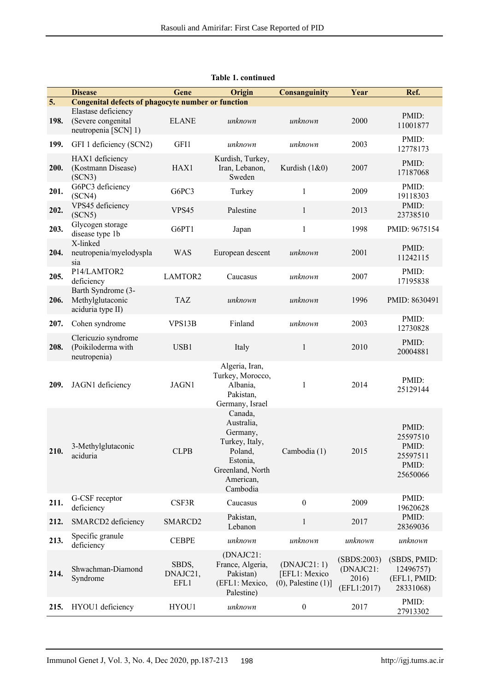|                  | <b>Disease</b>                                                    | Gene                      | Origin                                                                                                                  | <b>Consanguinity</b>                                      | Year                                             | Ref.                                                        |
|------------------|-------------------------------------------------------------------|---------------------------|-------------------------------------------------------------------------------------------------------------------------|-----------------------------------------------------------|--------------------------------------------------|-------------------------------------------------------------|
| $\overline{5}$ . | <b>Congenital defects of phagocyte number or function</b>         |                           |                                                                                                                         |                                                           |                                                  |                                                             |
| 198.             | Elastase deficiency<br>(Severe congenital<br>neutropenia [SCN] 1) | <b>ELANE</b>              | unknown                                                                                                                 | unknown                                                   | 2000                                             | PMID:<br>11001877                                           |
| 199.             | GFI 1 deficiency (SCN2)                                           | GFI1                      | unknown                                                                                                                 | unknown                                                   | 2003                                             | PMID:<br>12778173                                           |
| 200.             | HAX1 deficiency<br>(Kostmann Disease)<br>(SCN3)                   | HAX1                      | Kurdish, Turkey,<br>Iran, Lebanon,<br>Sweden                                                                            | Kurdish (1&0)                                             | 2007                                             | PMID:<br>17187068                                           |
| 201.             | G6PC3 deficiency<br>(SCN4)                                        | G6PC3                     | Turkey                                                                                                                  | $\mathbf{1}$                                              | 2009                                             | PMID:<br>19118303                                           |
| 202.             | VPS45 deficiency<br>(SCN5)                                        | VPS45                     | Palestine                                                                                                               | $\mathbf{1}$                                              | 2013                                             | PMID:<br>23738510                                           |
| 203.             | Glycogen storage<br>disease type 1b                               | G6PT1                     | Japan                                                                                                                   | $\mathbf{1}$                                              | 1998                                             | PMID: 9675154                                               |
| 204.             | X-linked<br>neutropenia/myelodyspla<br>sia                        | <b>WAS</b>                | European descent                                                                                                        | unknown                                                   | 2001                                             | PMID:<br>11242115                                           |
| 205.             | P14/LAMTOR2<br>deficiency                                         | LAMTOR2                   | Caucasus                                                                                                                | unknown                                                   | 2007                                             | PMID:<br>17195838                                           |
| 206.             | Barth Syndrome (3-<br>Methylglutaconic<br>aciduria type II)       | <b>TAZ</b>                | unknown                                                                                                                 | unknown                                                   | 1996                                             | PMID: 8630491                                               |
| 207.             | Cohen syndrome                                                    | VPS13B                    | Finland                                                                                                                 | unknown                                                   | 2003                                             | PMID:<br>12730828                                           |
| 208.             | Clericuzio syndrome<br>(Poikiloderma with<br>neutropenia)         | USB1                      | Italy                                                                                                                   | $\mathbf{1}$                                              | 2010                                             | PMID:<br>20004881                                           |
| 209.             | JAGN1 deficiency                                                  | JAGN1                     | Algeria, Iran,<br>Turkey, Morocco,<br>Albania,<br>Pakistan,<br>Germany, Israel                                          | $\mathbf{1}$                                              | 2014                                             | PMID:<br>25129144                                           |
| 210.             | 3-Methylglutaconic<br>aciduria                                    | <b>CLPB</b>               | Canada,<br>Australia,<br>Germany,<br>Turkey, Italy,<br>Poland,<br>Estonia,<br>Greenland, North<br>American,<br>Cambodia | Cambodia (1)                                              | 2015                                             | PMID:<br>25597510<br>PMID:<br>25597511<br>PMID:<br>25650066 |
| 211.             | G-CSF receptor<br>deficiency                                      | CSF3R                     | Caucasus                                                                                                                | $\mathbf{0}$                                              | 2009                                             | PMID:<br>19620628                                           |
| 212.             | SMARCD2 deficiency                                                | SMARCD2                   | Pakistan,<br>Lebanon                                                                                                    | $\mathbf{1}$                                              | 2017                                             | PMID:<br>28369036                                           |
| 213.             | Specific granule<br>deficiency                                    | <b>CEBPE</b>              | unknown                                                                                                                 | unknown                                                   | unknown                                          | unknown                                                     |
| 214.             | Shwachman-Diamond<br>Syndrome                                     | SBDS,<br>DNAJC21,<br>EFL1 | (DNAJC21:<br>France, Algeria,<br>Pakistan)<br>(EFL1: Mexico,<br>Palestine)                                              | (DNAJC21:1)<br>[EFL1: Mexico<br>$(0)$ , Palestine $(1)$ ] | (SBDS:2003)<br>(DNAJC21:<br>2016)<br>(EFL1:2017) | (SBDS, PMID:<br>12496757)<br>(EFL1, PMID:<br>28331068)      |
| 215.             | HYOU1 deficiency                                                  | HYOU1                     | unknown                                                                                                                 | $\boldsymbol{0}$                                          | 2017                                             | PMID:<br>27913302                                           |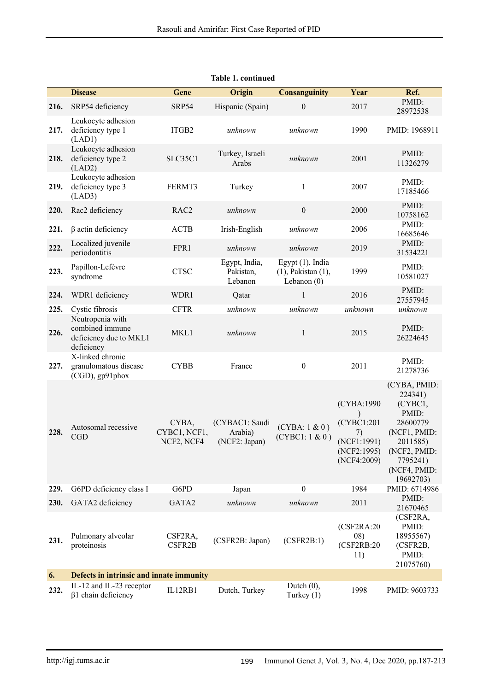|      | <b>Disease</b>                                                              | Gene                                | Origin                                     | <b>Consanguinity</b>                                             | Year                                                                         | Ref.                                                                                                                                         |
|------|-----------------------------------------------------------------------------|-------------------------------------|--------------------------------------------|------------------------------------------------------------------|------------------------------------------------------------------------------|----------------------------------------------------------------------------------------------------------------------------------------------|
| 216. | SRP54 deficiency                                                            | SRP54                               | Hispanic (Spain)                           | $\mathbf{0}$                                                     | 2017                                                                         | PMID:<br>28972538                                                                                                                            |
| 217. | Leukocyte adhesion<br>deficiency type 1<br>(LAD1)                           | ITGB2                               | unknown                                    | unknown                                                          | 1990                                                                         | PMID: 1968911                                                                                                                                |
| 218. | Leukocyte adhesion<br>deficiency type 2<br>(LAD2)                           | SLC35C1                             | Turkey, Israeli<br>Arabs                   | unknown                                                          | 2001                                                                         | PMID:<br>11326279                                                                                                                            |
| 219. | Leukocyte adhesion<br>deficiency type 3<br>(LAD3)                           | FERMT3                              | Turkey                                     | $\mathbf{1}$                                                     | 2007                                                                         | PMID:<br>17185466                                                                                                                            |
| 220. | Rac2 deficiency                                                             | RAC <sub>2</sub>                    | unknown                                    | $\boldsymbol{0}$                                                 | 2000                                                                         | PMID:<br>10758162                                                                                                                            |
| 221. | $\beta$ actin deficiency                                                    | <b>ACTB</b>                         | Irish-English                              | unknown                                                          | 2006                                                                         | PMID:<br>16685646                                                                                                                            |
| 222. | Localized juvenile<br>periodontitis                                         | FPR1                                | unknown                                    | unknown                                                          | 2019                                                                         | PMID:<br>31534221                                                                                                                            |
| 223. | Papillon-Lefèvre<br>syndrome                                                | <b>CTSC</b>                         | Egypt, India,<br>Pakistan,<br>Lebanon      | Egypt $(1)$ , India<br>$(1)$ , Pakistan $(1)$ ,<br>Lebanon $(0)$ | 1999                                                                         | PMID:<br>10581027                                                                                                                            |
| 224. | WDR1 deficiency                                                             | WDR1                                | Qatar                                      | 1                                                                | 2016                                                                         | PMID:<br>27557945                                                                                                                            |
| 225. | Cystic fibrosis                                                             | <b>CFTR</b>                         | unknown                                    | unknown                                                          | unknown                                                                      | unknown                                                                                                                                      |
| 226. | Neutropenia with<br>combined immune<br>deficiency due to MKL1<br>deficiency | MKL1                                | unknown                                    | $\mathbf{1}$                                                     | 2015                                                                         | PMID:<br>26224645                                                                                                                            |
| 227. | X-linked chronic<br>granulomatous disease<br>$(CGD)$ , gp $91$ phox         | <b>CYBB</b>                         | France                                     | $\boldsymbol{0}$                                                 | 2011                                                                         | PMID:<br>21278736                                                                                                                            |
| 228. | Autosomal recessive<br><b>CGD</b>                                           | CYBA,<br>CYBC1, NCF1,<br>NCF2, NCF4 | (CYBAC1: Saudi<br>Arabia)<br>(NCF2: Japan) | (CYBA: 1 & 0)<br>(CYBC1: 1 & 0)                                  | (CYBA:1990)<br>(CYBC1:201<br>7)<br>(NCF1:1991)<br>(NCF2:1995)<br>(NCF4:2009) | (CYBA, PMID:<br>224341)<br>(CYBC1,<br>PMID:<br>28600779<br>(NCF1, PMID:<br>2011585)<br>(NCF2, PMID:<br>7795241)<br>(NCF4, PMID:<br>19692703) |
| 229. | G6PD deficiency class I                                                     | G6PD                                | Japan                                      | $\theta$                                                         | 1984                                                                         | PMID: 6714986                                                                                                                                |
| 230. | GATA2 deficiency                                                            | GATA2                               | unknown                                    | unknown                                                          | 2011                                                                         | PMID:<br>21670465                                                                                                                            |
| 231. | Pulmonary alveolar<br>proteinosis                                           | CSF2RA,<br>CSFR2B                   | (CSFR2B: Japan)                            | (CSFR2B:1)                                                       | (CSF2RA:20<br>08)<br>(CSF2RB:20<br>11)                                       | (CSF2RA,<br>PMID:<br>18955567)<br>(CSFR2B,<br>PMID:<br>21075760)                                                                             |
| 6.   | Defects in intrinsic and innate immunity                                    |                                     |                                            |                                                                  |                                                                              |                                                                                                                                              |
| 232. | IL-12 and IL-23 receptor<br>$\beta$ 1 chain deficiency                      | IL12RB1                             | Dutch, Turkey                              | Dutch $(0)$ ,<br>Turkey (1)                                      | 1998                                                                         | PMID: 9603733                                                                                                                                |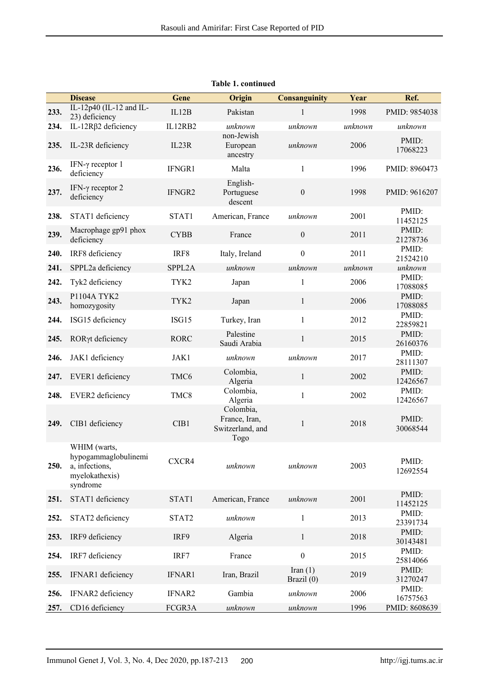|      | <b>Disease</b>                                                                       | Gene             | Origin                                                 | Consanguinity            | Year    | Ref.              |
|------|--------------------------------------------------------------------------------------|------------------|--------------------------------------------------------|--------------------------|---------|-------------------|
| 233. | IL-12p40 (IL-12 and IL-<br>23) deficiency                                            | IL12B            | Pakistan                                               | 1                        | 1998    | PMID: 9854038     |
| 234. | IL-12Rβ2 deficiency                                                                  | IL12RB2          | unknown                                                | unknown                  | unknown | unknown           |
| 235. | IL-23R deficiency                                                                    | IL23R            | non-Jewish<br>European<br>ancestry                     | unknown                  | 2006    | PMID:<br>17068223 |
| 236. | IFN- $\gamma$ receptor 1<br>deficiency                                               | IFNGR1           | Malta                                                  | $\mathbf{1}$             | 1996    | PMID: 8960473     |
| 237. | IFN- $\gamma$ receptor 2<br>deficiency                                               | IFNGR2           | English-<br>Portuguese<br>descent                      | $\boldsymbol{0}$         | 1998    | PMID: 9616207     |
| 238. | STAT1 deficiency                                                                     | STAT1            | American, France                                       | unknown                  | 2001    | PMID:<br>11452125 |
| 239. | Macrophage gp91 phox<br>deficiency                                                   | <b>CYBB</b>      | France                                                 | $\boldsymbol{0}$         | 2011    | PMID:<br>21278736 |
| 240. | IRF8 deficiency                                                                      | IRF8             | Italy, Ireland                                         | $\boldsymbol{0}$         | 2011    | PMID:<br>21524210 |
| 241. | SPPL2a deficiency                                                                    | SPPL2A           | unknown                                                | unknown                  | unknown | unknown           |
| 242. | Tyk2 deficiency                                                                      | TYK2             | Japan                                                  | $\mathbf{1}$             | 2006    | PMID:<br>17088085 |
| 243. | P1104A TYK2<br>homozygosity                                                          | TYK2             | Japan                                                  | $\mathbf{1}$             | 2006    | PMID:<br>17088085 |
| 244. | ISG15 deficiency                                                                     | ISG15            | Turkey, Iran                                           | $\mathbf{1}$             | 2012    | PMID:<br>22859821 |
| 245. | RORyt deficiency                                                                     | <b>RORC</b>      | Palestine<br>Saudi Arabia                              | $\mathbf{1}$             | 2015    | PMID:<br>26160376 |
| 246. | JAK1 deficiency                                                                      | JAK1             | unknown                                                | unknown                  | 2017    | PMID:<br>28111307 |
| 247. | EVER1 deficiency                                                                     | TMC <sub>6</sub> | Colombia,<br>Algeria                                   | $\mathbf{1}$             | 2002    | PMID:<br>12426567 |
| 248. | EVER2 deficiency                                                                     | TMC8             | Colombia,<br>Algeria                                   | $\mathbf{1}$             | 2002    | PMID:<br>12426567 |
| 249. | CIB1 deficiency                                                                      | CIB1             | Colombia,<br>France, Iran,<br>Switzerland, and<br>Togo | $\mathbf{1}$             | 2018    | PMID:<br>30068544 |
| 250. | WHIM (warts,<br>hypogammaglobulinemi<br>a, infections,<br>myelokathexis)<br>syndrome | CXCR4            | unknown                                                | unknown                  | 2003    | PMID:<br>12692554 |
| 251. | STAT1 deficiency                                                                     | STAT1            | American, France                                       | unknown                  | 2001    | PMID:<br>11452125 |
| 252. | STAT2 deficiency                                                                     | STAT2            | unknown                                                | $\mathbf{1}$             | 2013    | PMID:<br>23391734 |
| 253. | IRF9 deficiency                                                                      | IRF9             | Algeria                                                | $\mathbf{1}$             | 2018    | PMID:<br>30143481 |
| 254. | IRF7 deficiency                                                                      | IRF7             | France                                                 | $\boldsymbol{0}$         | 2015    | PMID:<br>25814066 |
| 255. | IFNAR1 deficiency                                                                    | IFNAR1           | Iran, Brazil                                           | Iran $(1)$<br>Brazil (0) | 2019    | PMID:<br>31270247 |
| 256. | IFNAR2 deficiency                                                                    | IFNAR2           | Gambia                                                 | unknown                  | 2006    | PMID:<br>16757563 |
| 257. | CD16 deficiency                                                                      | FCGR3A           | unknown                                                | unknown                  | 1996    | PMID: 8608639     |

**Table 1. continued**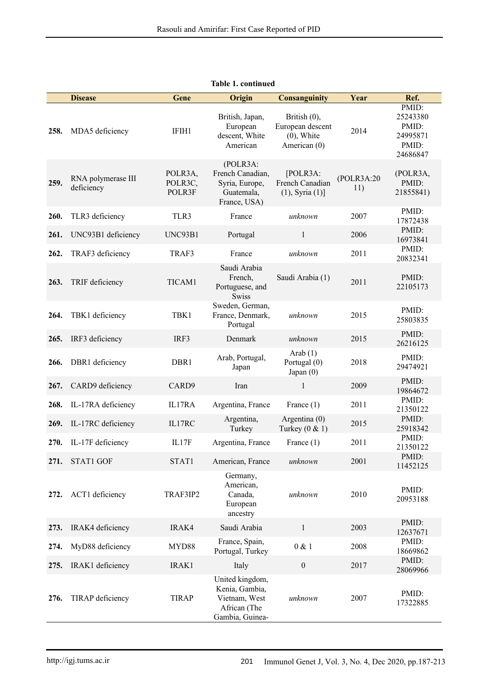|      | <b>Disease</b>                   | Gene                         | Origin                                                                                | <b>Consanguinity</b>                                                 | Year               | Ref.                                                        |
|------|----------------------------------|------------------------------|---------------------------------------------------------------------------------------|----------------------------------------------------------------------|--------------------|-------------------------------------------------------------|
| 258. | MDA5 deficiency                  | IFIH1                        | British, Japan,<br>European<br>descent, White<br>American                             | British $(0)$ ,<br>European descent<br>$(0)$ , White<br>American (0) | 2014               | PMID:<br>25243380<br>PMID:<br>24995871<br>PMID:<br>24686847 |
| 259. | RNA polymerase III<br>deficiency | POLR3A,<br>POLR3C,<br>POLR3F | (POLR3A)<br>French Canadian,<br>Syria, Europe,<br>Guatemala,<br>France, USA)          | [POLR3A:<br>French Canadian<br>$(1)$ , Syria $(1)]$                  | (POLR3A:20)<br>11) | (POLR3A,<br>PMID:<br>21855841)                              |
| 260. | TLR3 deficiency                  | TLR3                         | France                                                                                | unknown                                                              | 2007               | PMID:<br>17872438                                           |
| 261. | UNC93B1 deficiency               | UNC93B1                      | Portugal                                                                              | $\mathbf{1}$                                                         | 2006               | PMID:<br>16973841                                           |
| 262. | TRAF3 deficiency                 | TRAF3                        | France                                                                                | unknown                                                              | 2011               | PMID:<br>20832341                                           |
| 263. | TRIF deficiency                  | TICAM1                       | Saudi Arabia<br>French,<br>Portuguese, and<br><b>Swiss</b>                            | Saudi Arabia (1)                                                     | 2011               | PMID:<br>22105173                                           |
| 264. | TBK1 deficiency                  | TBK1                         | Sweden, German,<br>France, Denmark,<br>Portugal                                       | unknown                                                              | 2015               | PMID:<br>25803835                                           |
| 265. | IRF3 deficiency                  | IRF3                         | Denmark                                                                               | unknown                                                              | 2015               | PMID:<br>26216125                                           |
| 266. | DBR1 deficiency                  | DBR1                         | Arab, Portugal,<br>Japan                                                              | Arab $(1)$<br>Portugal (0)<br>Japan $(0)$                            | 2018               | PMID:<br>29474921                                           |
| 267. | CARD9 deficiency                 | CARD9                        | Iran                                                                                  | $\mathbf{1}$                                                         | 2009               | PMID:<br>19864672                                           |
| 268. | IL-17RA deficiency               | IL17RA                       | Argentina, France                                                                     | France $(1)$                                                         | 2011               | PMID:<br>21350122                                           |
| 269. | IL-17RC deficiency               | IL17RC                       | Argentina,<br>Turkey                                                                  | Argentina $(0)$<br>Turkey $(0 \& 1)$                                 | 2015               | PMID:<br>25918342                                           |
| 270. | IL-17F deficiency                | IL17F                        | Argentina, France                                                                     | France $(1)$                                                         | 2011               | PMID:<br>21350122                                           |
| 271. | STAT1 GOF                        | STAT1                        | American, France                                                                      | unknown                                                              | 2001               | PMID:<br>11452125                                           |
| 272. | ACT1 deficiency                  | TRAF3IP2                     | Germany,<br>American,<br>Canada,<br>European<br>ancestry                              | unknown                                                              | 2010               | PMID:<br>20953188                                           |
| 273. | IRAK4 deficiency                 | IRAK4                        | Saudi Arabia                                                                          | $\mathbf{1}$                                                         | 2003               | PMID:<br>12637671                                           |
| 274. | MyD88 deficiency                 | MYD88                        | France, Spain,<br>Portugal, Turkey                                                    | 0 & 1                                                                | 2008               | PMID:<br>18669862                                           |
| 275. | IRAK1 deficiency                 | IRAK1                        | Italy                                                                                 | $\boldsymbol{0}$                                                     | 2017               | PMID:<br>28069966                                           |
| 276. | TIRAP deficiency                 | <b>TIRAP</b>                 | United kingdom,<br>Kenia, Gambia,<br>Vietnam, West<br>African (The<br>Gambia, Guinea- | unknown                                                              | 2007               | PMID:<br>17322885                                           |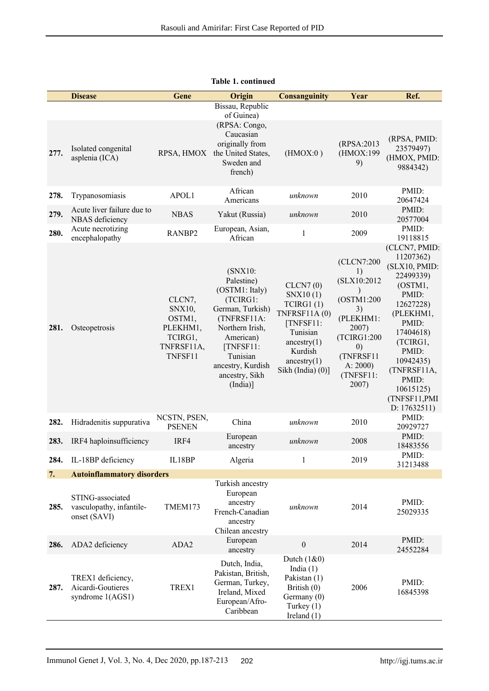|      | <b>Disease</b>                                               | Gene                                                                       | Origin                                                                                                                                                                                            | <b>Consanguinity</b>                                                                                                                           | Year                                                                                                                                                        | Ref.                                                                                                                                                                                                                                |
|------|--------------------------------------------------------------|----------------------------------------------------------------------------|---------------------------------------------------------------------------------------------------------------------------------------------------------------------------------------------------|------------------------------------------------------------------------------------------------------------------------------------------------|-------------------------------------------------------------------------------------------------------------------------------------------------------------|-------------------------------------------------------------------------------------------------------------------------------------------------------------------------------------------------------------------------------------|
| 277. | Isolated congenital<br>asplenia (ICA)                        | RPSA, HMOX                                                                 | Bissau, Republic<br>of Guinea)<br>(RPSA: Congo,<br>Caucasian<br>originally from<br>the United States,<br>Sweden and<br>french)                                                                    | (HMOX:0)                                                                                                                                       | (RPSA:2013)<br>(HMOX:199<br>9)                                                                                                                              | (RPSA, PMID:<br>23579497)<br>(HMOX, PMID:<br>9884342)                                                                                                                                                                               |
| 278. | Trypanosomiasis                                              | APOL1                                                                      | African<br>Americans                                                                                                                                                                              | unknown                                                                                                                                        | 2010                                                                                                                                                        | PMID:<br>20647424                                                                                                                                                                                                                   |
| 279. | Acute liver failure due to<br>NBAS deficiency                | <b>NBAS</b>                                                                | Yakut (Russia)                                                                                                                                                                                    | unknown                                                                                                                                        | 2010                                                                                                                                                        | PMID:<br>20577004                                                                                                                                                                                                                   |
| 280. | Acute necrotizing<br>encephalopathy                          | RANBP2                                                                     | European, Asian,<br>African                                                                                                                                                                       | 1                                                                                                                                              | 2009                                                                                                                                                        | PMID:<br>19118815                                                                                                                                                                                                                   |
| 281. | Osteopetrosis                                                | CLCN7,<br>SNX10,<br>OSTM1,<br>PLEKHM1,<br>TCIRG1,<br>TNFRSF11A,<br>TNFSF11 | (SNX10:<br>Palestine)<br>(OSTM1: Italy)<br>(TCIRG1:<br>German, Turkish)<br>(TNFRSF11A:<br>Northern Irish,<br>American)<br>[TNFSF11:<br>Tunisian<br>ancestry, Kurdish<br>ancestry, Sikh<br>(India) | CLCN7(0)<br>SNX10(1)<br>TCIRG1(1)<br>TNFRSF11A(0)<br>[TNFSF11:<br>Tunisian<br>ancestry $(1)$<br>Kurdish<br>ancestry $(1)$<br>Sikh (India) (0)] | (CLCN7:200<br>1)<br>(SLX10:2012<br>(OSTM1:200<br>3)<br>(PLEKHM1:<br>2007)<br>(TCIRG1:200<br>$\left( 0\right)$<br>(TNFRSF11<br>A: 2000<br>(TNFSF11:<br>2007) | (CLCN7, PMID:<br>11207362)<br>(SLX10, PMID:<br>22499339)<br>(OSTM1,<br>PMID:<br>12627228)<br>(PLEKHM1,<br>PMID:<br>17404618)<br>(TCIRG1,<br>PMID:<br>10942435)<br>(TNFRSF11A,<br>PMID:<br>10615125)<br>(TNFSF11, PMI<br>D: 17632511 |
| 282. | Hidradenitis suppurativa                                     | NCSTN, PSEN,<br><b>PSENEN</b>                                              | China                                                                                                                                                                                             | unknown                                                                                                                                        | 2010                                                                                                                                                        | PMID:<br>20929727                                                                                                                                                                                                                   |
| 283. | IRF4 haploinsufficiency                                      | IRF4                                                                       | European<br>ancestry                                                                                                                                                                              | unknown                                                                                                                                        | 2008                                                                                                                                                        | PMID:<br>18483556                                                                                                                                                                                                                   |
| 284. | IL-18BP deficiency                                           | IL18BP                                                                     | Algeria                                                                                                                                                                                           | 1                                                                                                                                              | 2019                                                                                                                                                        | PMID:<br>31213488                                                                                                                                                                                                                   |
| 7.   | <b>Autoinflammatory disorders</b>                            |                                                                            |                                                                                                                                                                                                   |                                                                                                                                                |                                                                                                                                                             |                                                                                                                                                                                                                                     |
| 285. | STING-associated<br>vasculopathy, infantile-<br>onset (SAVI) | TMEM173                                                                    | Turkish ancestry<br>European<br>ancestry<br>French-Canadian<br>ancestry<br>Chilean ancestry                                                                                                       | unknown                                                                                                                                        | 2014                                                                                                                                                        | PMID:<br>25029335                                                                                                                                                                                                                   |
| 286. | ADA2 deficiency                                              | ADA2                                                                       | European<br>ancestry                                                                                                                                                                              | $\boldsymbol{0}$                                                                                                                               | 2014                                                                                                                                                        | PMID:<br>24552284                                                                                                                                                                                                                   |
| 287. | TREX1 deficiency,<br>Aicardi-Goutieres<br>syndrome 1(AGS1)   | TREX1                                                                      | Dutch, India,<br>Pakistan, British,<br>German, Turkey,<br>Ireland, Mixed<br>European/Afro-<br>Caribbean                                                                                           | Dutch $(1&0)$<br>India $(1)$<br>Pakistan (1)<br>British $(0)$<br>Germany (0)<br>Turkey $(1)$<br>Ireland $(1)$                                  | 2006                                                                                                                                                        | PMID:<br>16845398                                                                                                                                                                                                                   |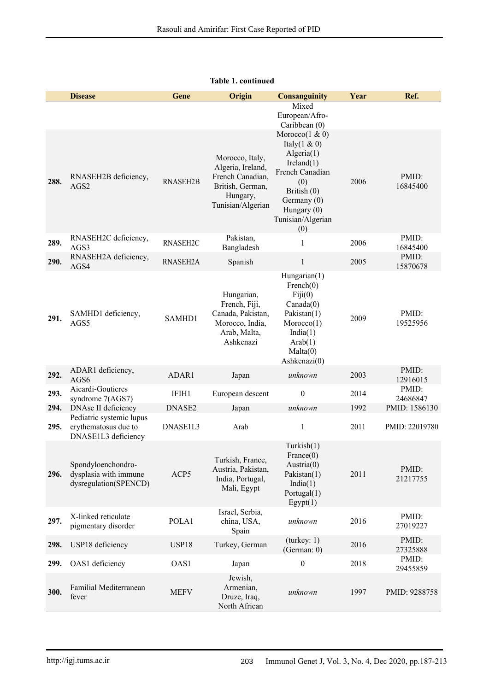|      | <b>Disease</b>                                                          | Gene            | Origin                                                                                                        | <b>Consanguinity</b>                                                                                                                                                                                              | Year | Ref.              |
|------|-------------------------------------------------------------------------|-----------------|---------------------------------------------------------------------------------------------------------------|-------------------------------------------------------------------------------------------------------------------------------------------------------------------------------------------------------------------|------|-------------------|
| 288. | RNASEH2B deficiency,<br>AGS2                                            | <b>RNASEH2B</b> | Morocco, Italy,<br>Algeria, Ireland,<br>French Canadian,<br>British, German,<br>Hungary,<br>Tunisian/Algerian | Mixed<br>European/Afro-<br>Caribbean (0)<br>Morocco $(1 \& 0)$<br>Italy $(1 \& 0)$<br>Algeria(1)<br>Ireland(1)<br>French Canadian<br>(0)<br>British (0)<br>Germany (0)<br>Hungary (0)<br>Tunisian/Algerian<br>(0) | 2006 | PMID:<br>16845400 |
| 289. | RNASEH2C deficiency,<br>AGS3                                            | RNASEH2C        | Pakistan,<br>Bangladesh                                                                                       | $\mathbf{1}$                                                                                                                                                                                                      | 2006 | PMID:<br>16845400 |
| 290. | RNASEH2A deficiency,<br>AGS4                                            | RNASEH2A        | Spanish                                                                                                       | $\mathbf{1}$                                                                                                                                                                                                      | 2005 | PMID:<br>15870678 |
| 291. | SAMHD1 deficiency,<br>AGS5                                              | SAMHD1          | Hungarian,<br>French, Fiji,<br>Canada, Pakistan,<br>Morocco, India,<br>Arab, Malta,<br>Ashkenazi              | Hungarian(1)<br>French(0)<br>$\text{Fiji}(0)$<br>Canada(0)<br>Pakistan(1)<br>Moreover(1)<br>India(1)<br>Arab(1)<br>Malta(0)<br>Ashkenazi(0)                                                                       | 2009 | PMID:<br>19525956 |
| 292. | ADAR1 deficiency,<br>AGS6                                               | ADAR1           | Japan                                                                                                         | unknown                                                                                                                                                                                                           | 2003 | PMID:<br>12916015 |
| 293. | Aicardi-Goutieres<br>syndrome 7(AGS7)                                   | IFIH1           | European descent                                                                                              | $\boldsymbol{0}$                                                                                                                                                                                                  | 2014 | PMID:<br>24686847 |
| 294. | DNAse II deficiency                                                     | DNASE2          | Japan                                                                                                         | unknown                                                                                                                                                                                                           | 1992 | PMID: 1586130     |
| 295. | Pediatric systemic lupus<br>erythematosus due to<br>DNASE1L3 deficiency | DNASE1L3        | Arab                                                                                                          | $\mathbf{1}$                                                                                                                                                                                                      | 2011 | PMID: 22019780    |
| 296. | Spondyloenchondro-<br>dysplasia with immune<br>dysregulation(SPENCD)    | ACP5            | Turkish, France,<br>Austria, Pakistan,<br>India, Portugal,<br>Mali, Egypt                                     | Turkish(1)<br>France(0)<br>Austria $(0)$<br>Pakistan(1)<br>India(1)<br>Portugal(1)<br>Egypt(1)                                                                                                                    | 2011 | PMID:<br>21217755 |
| 297. | X-linked reticulate<br>pigmentary disorder                              | POLA1           | Israel, Serbia,<br>china, USA,<br>Spain                                                                       | unknown                                                                                                                                                                                                           | 2016 | PMID:<br>27019227 |
| 298. | USP18 deficiency                                                        | USP18           | Turkey, German                                                                                                | (turkey: 1)<br>(German: 0)                                                                                                                                                                                        | 2016 | PMID:<br>27325888 |
| 299. | OAS1 deficiency                                                         | OAS1            | Japan                                                                                                         | $\boldsymbol{0}$                                                                                                                                                                                                  | 2018 | PMID:<br>29455859 |
| 300. | Familial Mediterranean<br>fever                                         | <b>MEFV</b>     | Jewish,<br>Armenian,<br>Druze, Iraq,<br>North African                                                         | unknown                                                                                                                                                                                                           | 1997 | PMID: 9288758     |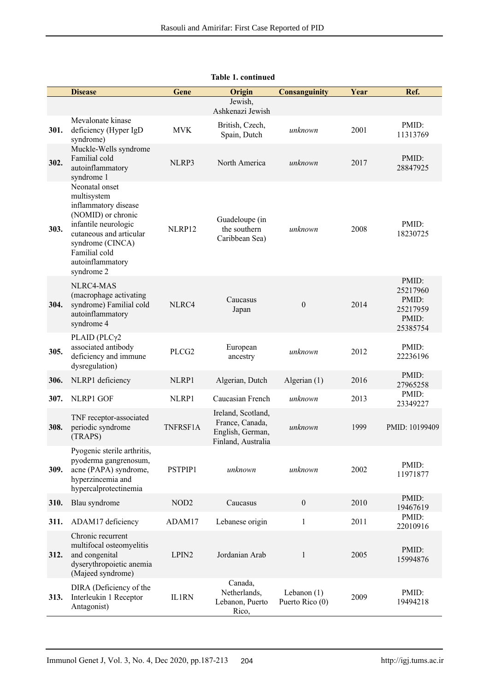|      | <b>Disease</b>                                                                                                                                                                                        | Gene              | Origin                                                                          | <b>Consanguinity</b>             | Year | Ref.                                                        |
|------|-------------------------------------------------------------------------------------------------------------------------------------------------------------------------------------------------------|-------------------|---------------------------------------------------------------------------------|----------------------------------|------|-------------------------------------------------------------|
|      |                                                                                                                                                                                                       |                   | Jewish,<br>Ashkenazi Jewish                                                     |                                  |      |                                                             |
| 301. | Mevalonate kinase<br>deficiency (Hyper IgD<br>syndrome)                                                                                                                                               | <b>MVK</b>        | British, Czech,<br>Spain, Dutch                                                 | unknown                          | 2001 | PMID:<br>11313769                                           |
| 302. | Muckle-Wells syndrome<br>Familial cold<br>autoinflammatory<br>syndrome 1                                                                                                                              | NLRP3             | North America                                                                   | unknown                          | 2017 | PMID:<br>28847925                                           |
| 303. | Neonatal onset<br>multisystem<br>inflammatory disease<br>(NOMID) or chronic<br>infantile neurologic<br>cutaneous and articular<br>syndrome (CINCA)<br>Familial cold<br>autoinflammatory<br>syndrome 2 | NLRP12            | Guadeloupe (in<br>the southern<br>Caribbean Sea)                                | unknown                          | 2008 | PMID:<br>18230725                                           |
| 304. | NLRC4-MAS<br>(macrophage activating<br>syndrome) Familial cold<br>autoinflammatory<br>syndrome 4                                                                                                      | NLRC4             | Caucasus<br>Japan                                                               | $\mathbf{0}$                     | 2014 | PMID:<br>25217960<br>PMID:<br>25217959<br>PMID:<br>25385754 |
| 305. | PLAID ( $PLC\gamma2$<br>associated antibody<br>deficiency and immune<br>dysregulation)                                                                                                                | PLCG <sub>2</sub> | European<br>ancestry                                                            | unknown                          | 2012 | PMID:<br>22236196                                           |
| 306. | NLRP1 deficiency                                                                                                                                                                                      | NLRP1             | Algerian, Dutch                                                                 | Algerian (1)                     | 2016 | PMID:<br>27965258                                           |
| 307. | NLRP1 GOF                                                                                                                                                                                             | NLRP1             | Caucasian French                                                                | unknown                          | 2013 | PMID:<br>23349227                                           |
| 308. | TNF receptor-associated<br>periodic syndrome<br>(TRAPS)                                                                                                                                               | TNFRSF1A          | Ireland, Scotland,<br>France, Canada,<br>English, German,<br>Finland, Australia | unknown                          | 1999 | PMID: 10199409                                              |
| 309. | Pyogenic sterile arthritis,<br>pyoderma gangrenosum,<br>acne (PAPA) syndrome,<br>hyperzincemia and<br>hypercalprotectinemia                                                                           | PSTPIP1           | unknown                                                                         | unknown                          | 2002 | PMID:<br>11971877                                           |
| 310. | Blau syndrome                                                                                                                                                                                         | NOD <sub>2</sub>  | Caucasus                                                                        | $\boldsymbol{0}$                 | 2010 | PMID:<br>19467619                                           |
| 311. | ADAM17 deficiency                                                                                                                                                                                     | ADAM17            | Lebanese origin                                                                 | $\mathbf{1}$                     | 2011 | PMID:<br>22010916                                           |
| 312. | Chronic recurrent<br>multifocal osteomyelitis<br>and congenital<br>dyserythropoietic anemia<br>(Majeed syndrome)                                                                                      | LPIN2             | Jordanian Arab                                                                  | $\mathbf{1}$                     | 2005 | PMID:<br>15994876                                           |
| 313. | DIRA (Deficiency of the<br>Interleukin 1 Receptor<br>Antagonist)                                                                                                                                      | <b>IL1RN</b>      | Canada,<br>Netherlands,<br>Lebanon, Puerto<br>Rico,                             | Lebanon $(1)$<br>Puerto Rico (0) | 2009 | PMID:<br>19494218                                           |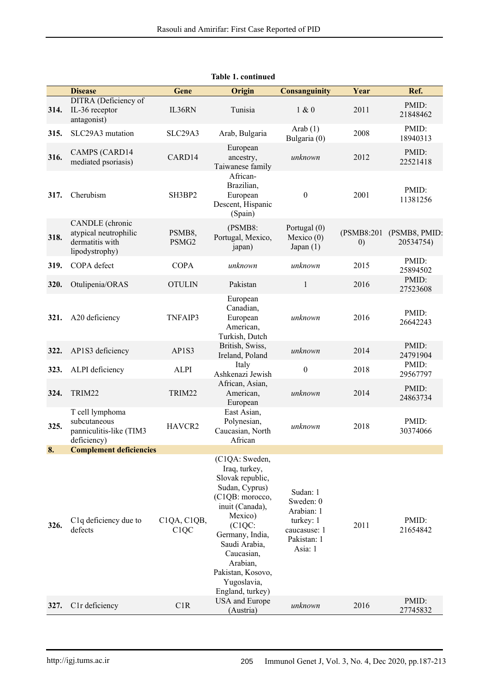|      | <b>Disease</b>                                                                | Gene                                         | Origin                                                                                                                                                                                                                                                 | <b>Consanguinity</b>                                                                       | Year               | Ref.                       |
|------|-------------------------------------------------------------------------------|----------------------------------------------|--------------------------------------------------------------------------------------------------------------------------------------------------------------------------------------------------------------------------------------------------------|--------------------------------------------------------------------------------------------|--------------------|----------------------------|
| 314. | DITRA (Deficiency of<br>IL-36 receptor<br>antagonist)                         | IL36RN                                       | Tunisia                                                                                                                                                                                                                                                | 1 & 0                                                                                      | 2011               | PMID:<br>21848462          |
| 315. | SLC29A3 mutation                                                              | SLC29A3                                      | Arab, Bulgaria                                                                                                                                                                                                                                         | Arab $(1)$<br>Bulgaria (0)                                                                 | 2008               | PMID:<br>18940313          |
| 316. | <b>CAMPS (CARD14</b><br>mediated psoriasis)                                   | CARD14                                       | European<br>ancestry,<br>Taiwanese family                                                                                                                                                                                                              | unknown                                                                                    | 2012               | PMID:<br>22521418          |
| 317. | Cherubism                                                                     | SH3BP2                                       | African-<br>Brazilian,<br>European<br>Descent, Hispanic<br>(Spain)                                                                                                                                                                                     | $\theta$                                                                                   | 2001               | PMID:<br>11381256          |
| 318. | CANDLE (chronic<br>atypical neutrophilic<br>dermatitis with<br>lipodystrophy) | PSMB8,<br>PSMG2                              | (PSMB8:<br>Portugal, Mexico,<br>japan)                                                                                                                                                                                                                 | Portugal (0)<br>Mexico $(0)$<br>Japan $(1)$                                                | (PSMB8:201)<br>(0) | (PSMB8, PMID:<br>20534754) |
| 319. | COPA defect                                                                   | <b>COPA</b>                                  | unknown                                                                                                                                                                                                                                                | unknown                                                                                    | 2015               | PMID:<br>25894502          |
| 320. | Otulipenia/ORAS                                                               | <b>OTULIN</b>                                | Pakistan                                                                                                                                                                                                                                               | 1                                                                                          | 2016               | PMID:<br>27523608          |
| 321. | A20 deficiency                                                                | TNFAIP3                                      | European<br>Canadian,<br>European<br>American,<br>Turkish, Dutch                                                                                                                                                                                       | unknown                                                                                    | 2016               | PMID:<br>26642243          |
| 322. | AP1S3 deficiency                                                              | AP1S3                                        | British, Swiss,<br>Ireland, Poland                                                                                                                                                                                                                     | unknown                                                                                    | 2014               | PMID:<br>24791904          |
| 323. | ALPI deficiency                                                               | <b>ALPI</b>                                  | Italy<br>Ashkenazi Jewish                                                                                                                                                                                                                              | $\theta$                                                                                   | 2018               | PMID:<br>29567797          |
| 324. | TRIM22                                                                        | TRIM22                                       | African, Asian,<br>American,<br>European                                                                                                                                                                                                               | unknown                                                                                    | 2014               | PMID:<br>24863734          |
| 325. | T cell lymphoma<br>subcutaneous<br>panniculitis-like (TIM3<br>deficiency)     | HAVCR2                                       | East Asian,<br>Polynesian,<br>Caucasian, North<br>African                                                                                                                                                                                              | unknown                                                                                    | 2018               | PMID:<br>30374066          |
| 8.   | <b>Complement deficiencies</b>                                                |                                              |                                                                                                                                                                                                                                                        |                                                                                            |                    |                            |
| 326. | C <sub>1</sub> q deficiency due to<br>defects                                 | C1QA, C1QB,<br>C <sub>1</sub> Q <sub>C</sub> | (C1QA: Sweden,<br>Iraq, turkey,<br>Slovak republic,<br>Sudan, Cyprus)<br>(C1QB: morocco,<br>inuit (Canada),<br>Mexico)<br>(C1QC)<br>Germany, India,<br>Saudi Arabia,<br>Caucasian,<br>Arabian,<br>Pakistan, Kosovo,<br>Yugoslavia,<br>England, turkey) | Sudan: 1<br>Sweden: 0<br>Arabian: 1<br>turkey: 1<br>caucasuse: 1<br>Pakistan: 1<br>Asia: 1 | 2011               | PMID:<br>21654842          |
| 327. | C1r deficiency                                                                | C1R                                          | <b>USA</b> and Europe<br>(Austria)                                                                                                                                                                                                                     | unknown                                                                                    | 2016               | PMID:<br>27745832          |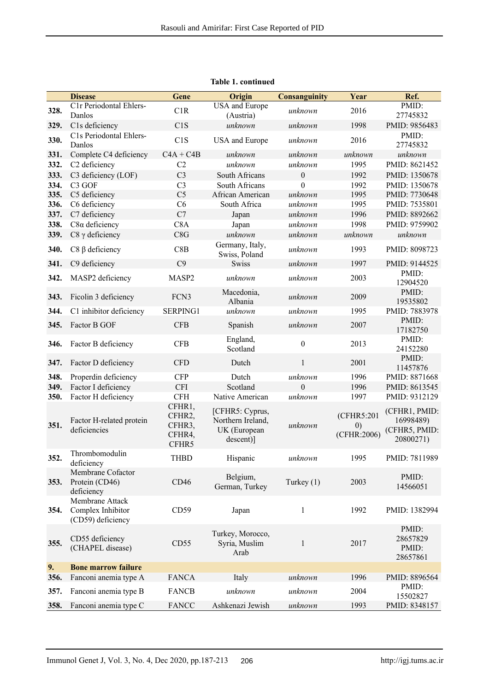|      | <b>Disease</b>                                            | Gene                                          | Origin                                                            | <b>Consanguinity</b> | Year                                           | Ref.                                                     |
|------|-----------------------------------------------------------|-----------------------------------------------|-------------------------------------------------------------------|----------------------|------------------------------------------------|----------------------------------------------------------|
| 328. | C1r Periodontal Ehlers-                                   | C1R                                           | <b>USA</b> and Europe                                             | unknown              | 2016                                           | PMID:                                                    |
|      | Danlos                                                    |                                               | (Austria)                                                         |                      |                                                | 27745832                                                 |
| 329. | C1s deficiency                                            | C1S                                           | unknown                                                           | unknown              | 1998                                           | PMID: 9856483                                            |
| 330. | C1s Periodontal Ehlers-<br>Danlos                         | C1S                                           | USA and Europe                                                    | unknown              | 2016                                           | PMID:<br>27745832                                        |
| 331. | Complete C4 deficiency                                    | $C4A + C4B$                                   | unknown                                                           | unknown              | unknown                                        | unknown                                                  |
| 332. | C2 deficiency                                             | C2                                            | unknown                                                           | unknown              | 1995                                           | PMID: 8621452                                            |
| 333. | C3 deficiency (LOF)                                       | C <sub>3</sub>                                | South Africans                                                    | $\mathbf{0}$         | 1992                                           | PMID: 1350678                                            |
| 334. | C <sub>3</sub> GOF                                        | C <sub>3</sub>                                | South Africans                                                    | $\theta$             | 1992                                           | PMID: 1350678                                            |
| 335. | C5 deficiency                                             | C <sub>5</sub>                                | African American                                                  | unknown              | 1995                                           | PMID: 7730648                                            |
| 336. | C6 deficiency                                             | C6                                            | South Africa                                                      | unknown              | 1995                                           | PMID: 7535801                                            |
| 337. | C7 deficiency                                             | C7                                            | Japan                                                             | unknown              | 1996                                           | PMID: 8892662                                            |
| 338. | $C8\alpha$ deficiency                                     | C <sub>8</sub> A                              | Japan                                                             | unknown              | 1998                                           | PMID: 9759902                                            |
| 339. | $C8 \gamma$ deficiency                                    | C8G                                           | unknown                                                           | unknown              | unknown                                        | unknown                                                  |
| 340. | $C8 \beta$ deficiency                                     | C8B                                           | Germany, Italy,<br>Swiss, Poland                                  | unknown              | 1993                                           | PMID: 8098723                                            |
| 341. | C9 deficiency                                             | C9                                            | <b>Swiss</b>                                                      | unknown              | 1997                                           | PMID: 9144525                                            |
| 342. | MASP2 deficiency                                          | MASP2                                         | unknown                                                           | unknown              | 2003                                           | PMID:<br>12904520                                        |
| 343. | Ficolin 3 deficiency                                      | FCN3                                          | Macedonia,<br>Albania                                             | unknown              | 2009                                           | PMID:<br>19535802                                        |
| 344. | C1 inhibitor deficiency                                   | SERPING1                                      | unknown                                                           | unknown              | 1995                                           | PMID: 7883978                                            |
| 345. | Factor B GOF                                              | <b>CFB</b>                                    | Spanish                                                           | unknown              | 2007                                           | PMID:<br>17182750                                        |
| 346. | Factor B deficiency                                       | <b>CFB</b>                                    | England,<br>Scotland                                              | $\boldsymbol{0}$     | 2013                                           | PMID:<br>24152280                                        |
| 347. | Factor D deficiency                                       | <b>CFD</b>                                    | Dutch                                                             | $\,1\,$              | 2001                                           | PMID:<br>11457876                                        |
| 348. | Properdin deficiency                                      | <b>CFP</b>                                    | Dutch                                                             | unknown              | 1996                                           | PMID: 8871668                                            |
| 349. | Factor I deficiency                                       | <b>CFI</b>                                    | Scotland                                                          | $\theta$             | 1996                                           | PMID: 8613545                                            |
| 350. | Factor H deficiency                                       | CFH                                           | Native American                                                   | unknown              | 1997                                           | PMID: 9312129                                            |
| 351. | Factor H-related protein<br>deficiencies                  | CFHR1,<br>CFHR2,<br>CFHR3,<br>CFHR4,<br>CFHR5 | [CFHR5: Cyprus,<br>Northern Ireland,<br>UK (European<br>descent)] | unknown              | (CFHR5:201<br>$\left( 0\right)$<br>(CFHR:2006) | (CFHR1, PMID:<br>16998489)<br>(CFHR5, PMID:<br>20800271) |
| 352. | Thrombomodulin<br>deficiency                              | <b>THBD</b>                                   | Hispanic                                                          | unknown              | 1995                                           | PMID: 7811989                                            |
| 353. | Membrane Cofactor<br>Protein (CD46)<br>deficiency         | CD46                                          | Belgium,<br>German, Turkey                                        | Turkey (1)           | 2003                                           | PMID:<br>14566051                                        |
| 354. | Membrane Attack<br>Complex Inhibitor<br>(CD59) deficiency | CD59                                          | Japan                                                             | $\mathbf{1}$         | 1992                                           | PMID: 1382994                                            |
| 355. | CD55 deficiency<br>(CHAPEL disease)                       | CD55                                          | Turkey, Morocco,<br>Syria, Muslim<br>Arab                         | $\mathbf{1}$         | 2017                                           | PMID:<br>28657829<br>PMID:<br>28657861                   |
| 9.   | <b>Bone marrow failure</b>                                |                                               |                                                                   |                      |                                                |                                                          |
| 356. | Fanconi anemia type A                                     | <b>FANCA</b>                                  | Italy                                                             | unknown              | 1996                                           | PMID: 8896564                                            |
| 357. | Fanconi anemia type B                                     | <b>FANCB</b>                                  | unknown                                                           | unknown              | 2004                                           | PMID:<br>15502827                                        |
| 358. | Fanconi anemia type C                                     | <b>FANCC</b>                                  | Ashkenazi Jewish                                                  | unknown              | 1993                                           | PMID: 8348157                                            |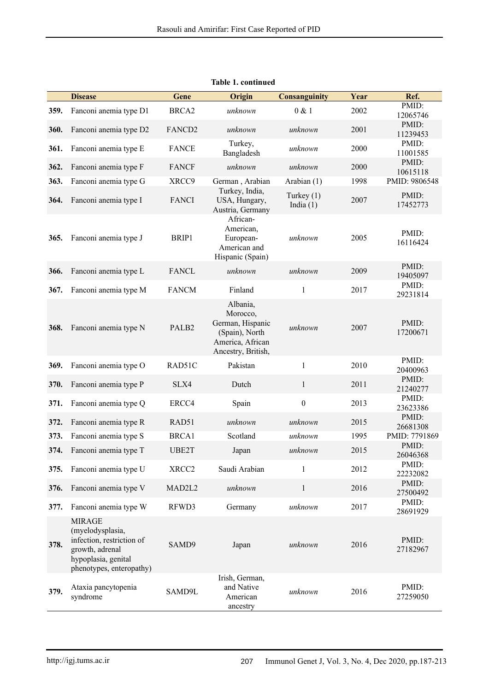|      | <b>Disease</b>                                                                                                                       | Gene               | Origin                                                                                               | <b>Consanguinity</b>        | Year | Ref.              |
|------|--------------------------------------------------------------------------------------------------------------------------------------|--------------------|------------------------------------------------------------------------------------------------------|-----------------------------|------|-------------------|
|      |                                                                                                                                      |                    |                                                                                                      |                             |      | PMID:             |
| 359. | Fanconi anemia type D1                                                                                                               | BRCA <sub>2</sub>  | unknown                                                                                              | 0 & 1                       | 2002 | 12065746          |
| 360. | Fanconi anemia type D2                                                                                                               | FANCD <sub>2</sub> | unknown                                                                                              | unknown                     | 2001 | PMID:<br>11239453 |
| 361. | Fanconi anemia type E                                                                                                                | <b>FANCE</b>       | Turkey,<br>Bangladesh                                                                                | unknown                     | 2000 | PMID:<br>11001585 |
| 362. | Fanconi anemia type F                                                                                                                | <b>FANCF</b>       | unknown                                                                                              | unknown                     | 2000 | PMID:<br>10615118 |
| 363. | Fanconi anemia type G                                                                                                                | XRCC9              | German, Arabian                                                                                      | Arabian (1)                 | 1998 | PMID: 9806548     |
| 364. | Fanconi anemia type I                                                                                                                | <b>FANCI</b>       | Turkey, India,<br>USA, Hungary,<br>Austria, Germany                                                  | Turkey $(1)$<br>India $(1)$ | 2007 | PMID:<br>17452773 |
| 365. | Fanconi anemia type J                                                                                                                | BRIP1              | African-<br>American,<br>European-<br>American and<br>Hispanic (Spain)                               | unknown                     | 2005 | PMID:<br>16116424 |
| 366. | Fanconi anemia type L                                                                                                                | <b>FANCL</b>       | unknown                                                                                              | unknown                     | 2009 | PMID:<br>19405097 |
| 367. | Fanconi anemia type M                                                                                                                | <b>FANCM</b>       | Finland                                                                                              | 1                           | 2017 | PMID:<br>29231814 |
| 368. | Fanconi anemia type N                                                                                                                | PALB2              | Albania,<br>Morocco,<br>German, Hispanic<br>(Spain), North<br>America, African<br>Ancestry, British, | unknown                     | 2007 | PMID:<br>17200671 |
| 369. | Fanconi anemia type O                                                                                                                | RAD51C             | Pakistan                                                                                             | $\mathbf{1}$                | 2010 | PMID:<br>20400963 |
| 370. | Fanconi anemia type P                                                                                                                | SLX4               | Dutch                                                                                                | $\mathbf{1}$                | 2011 | PMID:<br>21240277 |
| 371. | Fanconi anemia type Q                                                                                                                | ERCC4              | Spain                                                                                                | $\boldsymbol{0}$            | 2013 | PMID:<br>23623386 |
| 372. | Fanconi anemia type R                                                                                                                | RAD51              | unknown                                                                                              | unknown                     | 2015 | PMID:<br>26681308 |
| 373. | Fanconi anemia type S                                                                                                                | BRCA1              | Scotland                                                                                             | unknown                     | 1995 | PMID: 7791869     |
| 374. | Fanconi anemia type T                                                                                                                | UBE2T              | Japan                                                                                                | unknown                     | 2015 | PMID:<br>26046368 |
| 375. | Fanconi anemia type U                                                                                                                | XRCC <sub>2</sub>  | Saudi Arabian                                                                                        | $\mathbf{1}$                | 2012 | PMID:<br>22232082 |
| 376. | Fanconi anemia type V                                                                                                                | MAD2L2             | unknown                                                                                              | $\mathbf{1}$                | 2016 | PMID:<br>27500492 |
| 377. | Fanconi anemia type W                                                                                                                | RFWD3              | Germany                                                                                              | unknown                     | 2017 | PMID:<br>28691929 |
| 378. | <b>MIRAGE</b><br>(myelodysplasia,<br>infection, restriction of<br>growth, adrenal<br>hypoplasia, genital<br>phenotypes, enteropathy) | SAMD9              | Japan                                                                                                | unknown                     | 2016 | PMID:<br>27182967 |
| 379. | Ataxia pancytopenia<br>syndrome                                                                                                      | SAMD9L             | Irish, German,<br>and Native<br>American<br>ancestry                                                 | unknown                     | 2016 | PMID:<br>27259050 |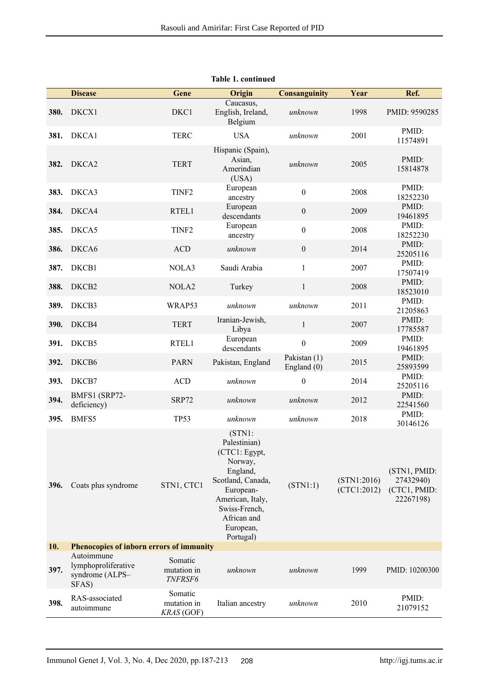|      | <b>Disease</b>                                                | Gene                                 | <b>Origin</b>                                                                                                            | <b>Consanguinity</b>          | Year                       | Ref.                                                   |
|------|---------------------------------------------------------------|--------------------------------------|--------------------------------------------------------------------------------------------------------------------------|-------------------------------|----------------------------|--------------------------------------------------------|
| 380. | DKCX1                                                         | DKC1                                 | Caucasus,<br>English, Ireland,<br>Belgium                                                                                | unknown                       | 1998                       | PMID: 9590285                                          |
| 381. | DKCA1                                                         | <b>TERC</b>                          | <b>USA</b>                                                                                                               | unknown                       | 2001                       | PMID:<br>11574891                                      |
| 382. | DKCA2                                                         | <b>TERT</b>                          | Hispanic (Spain),<br>Asian,<br>Amerindian<br>(USA)                                                                       | unknown                       | 2005                       | PMID:<br>15814878                                      |
| 383. | DKCA3                                                         | TINF <sub>2</sub>                    | European<br>ancestry                                                                                                     | $\boldsymbol{0}$              | 2008                       | PMID:<br>18252230                                      |
| 384. | DKCA4                                                         | RTEL1                                | European<br>descendants                                                                                                  | $\boldsymbol{0}$              | 2009                       | PMID:<br>19461895                                      |
| 385. | DKCA5                                                         | TINF <sub>2</sub>                    | European<br>ancestry                                                                                                     | $\boldsymbol{0}$              | 2008                       | PMID:<br>18252230                                      |
| 386. | DKCA6                                                         | <b>ACD</b>                           | unknown                                                                                                                  | $\mathbf{0}$                  | 2014                       | PMID:<br>25205116                                      |
| 387. | DKCB1                                                         | NOLA3                                | Saudi Arabia                                                                                                             | $\mathbf{1}$                  | 2007                       | PMID:<br>17507419                                      |
| 388. | DKCB2                                                         | NOLA <sub>2</sub>                    | Turkey                                                                                                                   | $\mathbf{1}$                  | 2008                       | PMID:<br>18523010                                      |
| 389. | DKCB3                                                         | WRAP53                               | unknown                                                                                                                  | unknown                       | 2011                       | PMID:<br>21205863                                      |
| 390. | DKCB4                                                         | <b>TERT</b>                          | Iranian-Jewish,<br>Libya                                                                                                 | $\mathbf{1}$                  | 2007                       | PMID:<br>17785587                                      |
| 391. | DKCB5                                                         | RTEL1                                | European<br>descendants                                                                                                  | $\boldsymbol{0}$              | 2009                       | PMID:<br>19461895                                      |
| 392. | DKCB6                                                         | <b>PARN</b>                          | Pakistan, England                                                                                                        | Pakistan (1)<br>England $(0)$ | 2015                       | PMID:<br>25893599                                      |
| 393. | DKCB7                                                         | <b>ACD</b>                           | unknown                                                                                                                  | $\boldsymbol{0}$              | 2014                       | PMID:<br>25205116                                      |
| 394. | BMFS1 (SRP72-<br>deficiency)                                  | SRP72                                | unknown                                                                                                                  | unknown                       | 2012                       | PMID:<br>22541560                                      |
| 395. | BMFS5                                                         | <b>TP53</b>                          | unknown<br>(STNI:<br>Palestinian)<br>(CTC1: Egypt,<br>Norway,                                                            | unknown                       | 2018                       | PMID:<br>30146126                                      |
| 396. | Coats plus syndrome                                           | STN1, CTC1                           | England,<br>Scotland, Canada,<br>European-<br>American, Italy,<br>Swiss-French,<br>African and<br>European,<br>Portugal) | (STN1:1)                      | (STN1:2016)<br>(CTC1:2012) | (STN1, PMID:<br>27432940)<br>(CTC1, PMID:<br>22267198) |
| 10.  | Phenocopies of inborn errors of immunity                      |                                      |                                                                                                                          |                               |                            |                                                        |
| 397. | Autoimmune<br>lymphoproliferative<br>syndrome (ALPS-<br>SFAS) | Somatic<br>mutation in<br>TNFRSF6    | unknown                                                                                                                  | unknown                       | 1999                       | PMID: 10200300                                         |
| 398. | RAS-associated<br>autoimmune                                  | Somatic<br>mutation in<br>KRAS (GOF) | Italian ancestry                                                                                                         | unknown                       | 2010                       | PMID:<br>21079152                                      |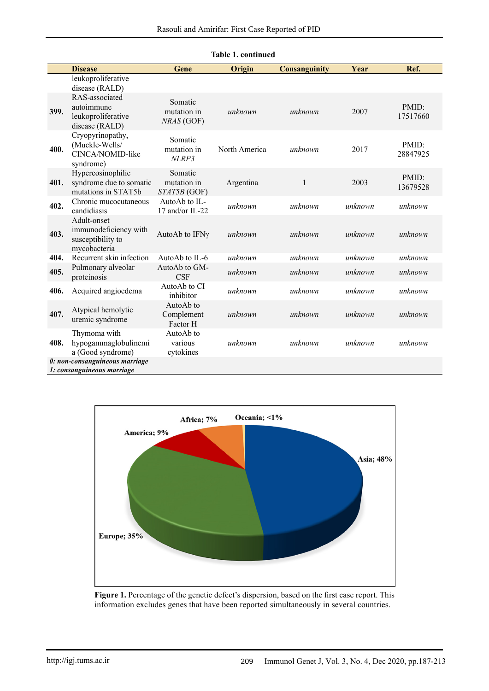| <b>Table 1. continued</b> |                                                                           |                                        |               |                      |         |                   |  |  |
|---------------------------|---------------------------------------------------------------------------|----------------------------------------|---------------|----------------------|---------|-------------------|--|--|
|                           | <b>Disease</b>                                                            | Gene                                   | Origin        | <b>Consanguinity</b> | Year    | Ref.              |  |  |
|                           | leukoproliferative<br>disease (RALD)                                      |                                        |               |                      |         |                   |  |  |
| 399.                      | RAS-associated<br>autoimmune<br>leukoproliferative<br>disease (RALD)      | Somatic<br>mutation in<br>NRAS (GOF)   | unknown       | unknown              | 2007    | PMID:<br>17517660 |  |  |
| 400.                      | Cryopyrinopathy,<br>(Muckle-Wells/<br>CINCA/NOMID-like<br>syndrome)       | Somatic<br>mutation in<br>NLRP3        | North America | unknown              | 2017    | PMID:<br>28847925 |  |  |
| 401.                      | Hypereosinophilic<br>syndrome due to somatic<br>mutations in STAT5b       | Somatic<br>mutation in<br>STAT5B (GOF) | Argentina     | $\mathbf{1}$         | 2003    | PMID:<br>13679528 |  |  |
| 402.                      | Chronic mucocutaneous<br>candidiasis                                      | AutoAb to IL-<br>17 and/or IL-22       | unknown       | unknown              | unknown | unknown           |  |  |
| 403.                      | Adult-onset<br>immunodeficiency with<br>susceptibility to<br>mycobacteria | AutoAb to IFNγ                         | unknown       | unknown              | unknown | unknown           |  |  |
| 404.                      | Recurrent skin infection                                                  | AutoAb to IL-6                         | unknown       | unknown              | unknown | unknown           |  |  |
| 405.                      | Pulmonary alveolar<br>proteinosis                                         | AutoAb to GM-<br>CSF                   | unknown       | unknown              | unknown | unknown           |  |  |
| 406.                      | Acquired angioedema                                                       | AutoAb to CI<br>inhibitor              | unknown       | unknown              | unknown | unknown           |  |  |
| 407.                      | Atypical hemolytic<br>uremic syndrome                                     | AutoAb to<br>Complement<br>Factor H    | unknown       | unknown              | unknown | unknown           |  |  |
| 408.                      | Thymoma with<br>hypogammaglobulinemi<br>a (Good syndrome)                 | AutoAb to<br>various<br>cytokines      | unknown       | unknown              | unknown | unknown           |  |  |
|                           | 0: non-consanguineous marriage<br>1: consanguineous marriage              |                                        |               |                      |         |                   |  |  |



#### **Figure 1.** Percentage of the genetic defect's dispersion, based on the first case report. This information excludes genes that have been reported simultaneously in several countries.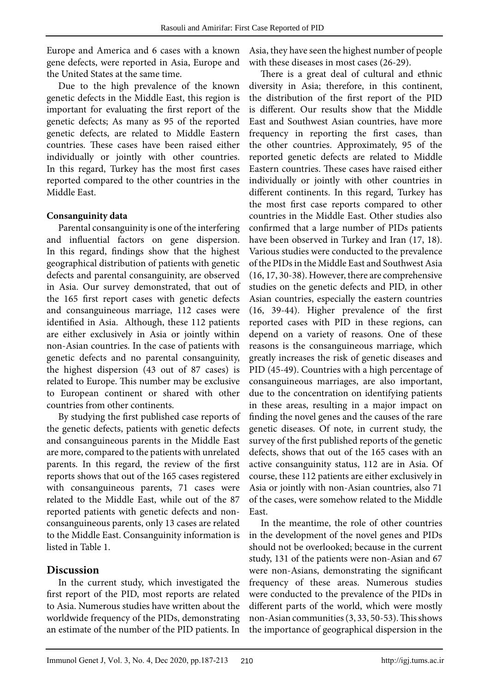Europe and America and 6 cases with a known gene defects, were reported in Asia, Europe and the United States at the same time.

Due to the high prevalence of the known genetic defects in the Middle East, this region is important for evaluating the first report of the genetic defects; As many as 95 of the reported genetic defects, are related to Middle Eastern countries. These cases have been raised either individually or jointly with other countries. In this regard, Turkey has the most first cases reported compared to the other countries in the Middle East.

## **Consanguinity data**

Parental consanguinity is one of the interfering and influential factors on gene dispersion. In this regard, findings show that the highest geographical distribution of patients with genetic defects and parental consanguinity, are observed in Asia. Our survey demonstrated, that out of the 165 first report cases with genetic defects and consanguineous marriage, 112 cases were identified in Asia. Although, these 112 patients are either exclusively in Asia or jointly within non-Asian countries. In the case of patients with genetic defects and no parental consanguinity, the highest dispersion (43 out of 87 cases) is related to Europe. This number may be exclusive to European continent or shared with other countries from other continents.

By studying the first published case reports of the genetic defects, patients with genetic defects and consanguineous parents in the Middle East are more, compared to the patients with unrelated parents. In this regard, the review of the first reports shows that out of the 165 cases registered with consanguineous parents, 71 cases were related to the Middle East, while out of the 87 reported patients with genetic defects and nonconsanguineous parents, only 13 cases are related to the Middle East. Consanguinity information is listed in Table 1.

# **Discussion**

In the current study, which investigated the first report of the PID, most reports are related to Asia. Numerous studies have written about the worldwide frequency of the PIDs, demonstrating an estimate of the number of the PID patients. In

Asia, they have seen the highest number of people with these diseases in most cases (26-29).

There is a great deal of cultural and ethnic diversity in Asia; therefore, in this continent, the distribution of the first report of the PID is different. Our results show that the Middle East and Southwest Asian countries, have more frequency in reporting the first cases, than the other countries. Approximately, 95 of the reported genetic defects are related to Middle Eastern countries. These cases have raised either individually or jointly with other countries in different continents. In this regard, Turkey has the most first case reports compared to other countries in the Middle East. Other studies also confirmed that a large number of PIDs patients have been observed in Turkey and Iran (17, 18). Various studies were conducted to the prevalence of the PIDs in the Middle East and Southwest Asia (16, 17, 30-38). However, there are comprehensive studies on the genetic defects and PID, in other Asian countries, especially the eastern countries (16, 39-44). Higher prevalence of the first reported cases with PID in these regions, can depend on a variety of reasons. One of these reasons is the consanguineous marriage, which greatly increases the risk of genetic diseases and PID (45-49). Countries with a high percentage of consanguineous marriages, are also important, due to the concentration on identifying patients in these areas, resulting in a major impact on finding the novel genes and the causes of the rare genetic diseases. Of note, in current study, the survey of the first published reports of the genetic defects, shows that out of the 165 cases with an active consanguinity status, 112 are in Asia. Of course, these 112 patients are either exclusively in Asia or jointly with non-Asian countries, also 71 of the cases, were somehow related to the Middle East.

In the meantime, the role of other countries in the development of the novel genes and PIDs should not be overlooked; because in the current study, 131 of the patients were non-Asian and 67 were non-Asians, demonstrating the significant frequency of these areas. Numerous studies were conducted to the prevalence of the PIDs in different parts of the world, which were mostly non-Asian communities  $(3, 33, 50-53)$ . This shows the importance of geographical dispersion in the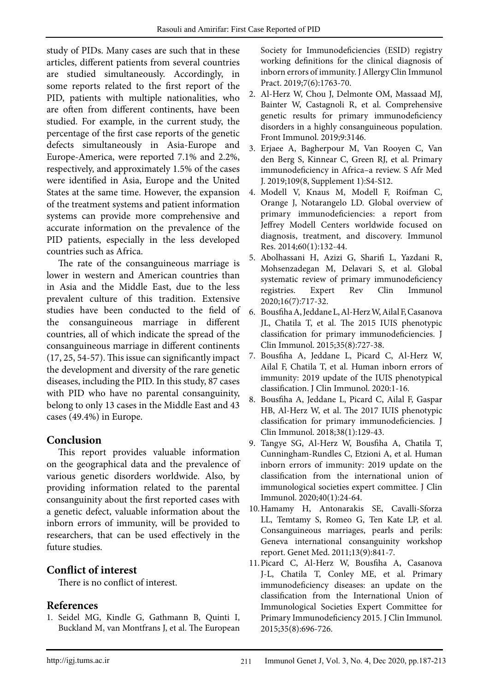study of PIDs. Many cases are such that in these articles, different patients from several countries are studied simultaneously. Accordingly, in some reports related to the first report of the PID, patients with multiple nationalities, who are often from different continents, have been studied. For example, in the current study, the percentage of the first case reports of the genetic defects simultaneously in Asia-Europe and Europe-America, were reported 7.1% and 2.2%, respectively, and approximately 1.5% of the cases were identified in Asia, Europe and the United States at the same time. However, the expansion of the treatment systems and patient information systems can provide more comprehensive and accurate information on the prevalence of the PID patients, especially in the less developed countries such as Africa.

The rate of the consanguineous marriage is lower in western and American countries than in Asia and the Middle East, due to the less prevalent culture of this tradition. Extensive studies have been conducted to the field of the consanguineous marriage in different countries, all of which indicate the spread of the consanguineous marriage in different continents (17, 25, 54-57). This issue can significantly impact the development and diversity of the rare genetic diseases, including the PID. In this study, 87 cases with PID who have no parental consanguinity, belong to only 13 cases in the Middle East and 43 cases (49.4%) in Europe.

# **Conclusion**

This report provides valuable information on the geographical data and the prevalence of various genetic disorders worldwide. Also, by providing information related to the parental consanguinity about the first reported cases with a genetic defect, valuable information about the inborn errors of immunity, will be provided to researchers, that can be used effectively in the future studies.

# **Conflict of interest**

There is no conflict of interest.

# **References**

1. Seidel MG, Kindle G, Gathmann B, Quinti I, Buckland M, van Montfrans J, et al. The European Society for Immunodeficiencies (ESID) registry working definitions for the clinical diagnosis of inborn errors of immunity. J Allergy Clin Immunol Pract. 2019;7(6):1763-70.

- 2. Al-Herz W, Chou J, Delmonte OM, Massaad MJ, Bainter W, Castagnoli R, et al. Comprehensive genetic results for primary immunodeficiency disorders in a highly consanguineous population. Front Immunol. 2019;9:3146.
- 3. Erjaee A, Bagherpour M, Van Rooyen C, Van den Berg S, Kinnear C, Green RJ, et al. Primary immunodeficiency in Africa–a review. S Afr Med J. 2019;109(8, Supplement 1):S4-S12.
- 4. Modell V, Knaus M, Modell F, Roifman C, Orange J, Notarangelo LD. Global overview of primary immunodeficiencies: a report from Jeffrey Modell Centers worldwide focused on diagnosis, treatment, and discovery. Immunol Res. 2014;60(1):132-44.
- 5. Abolhassani H, Azizi G, Sharifi L, Yazdani R, Mohsenzadegan M, Delavari S, et al. Global systematic review of primary immunodeficiency registries. Expert Rev Clin Immunol 2020;16(7):717-32.
- 6. Bousfiha A, Jeddane L, Al-Herz W, Ailal F, Casanova JL, Chatila T, et al. The 2015 IUIS phenotypic classification for primary immunodeficiencies. J Clin Immunol. 2015;35(8):727-38.
- 7. Bousfiha A, Jeddane L, Picard C, Al-Herz W, Ailal F, Chatila T, et al. Human inborn errors of immunity: 2019 update of the IUIS phenotypical classification. J Clin Immunol. 2020:1-16.
- 8. Bousfiha A, Jeddane L, Picard C, Ailal F, Gaspar HB, Al-Herz W, et al. The 2017 IUIS phenotypic classification for primary immunodeficiencies. J Clin Immunol. 2018;38(1):129-43.
- 9. Tangye SG, Al-Herz W, Bousfiha A, Chatila T, Cunningham-Rundles C, Etzioni A, et al. Human inborn errors of immunity: 2019 update on the classification from the international union of immunological societies expert committee. J Clin Immunol. 2020;40(1):24-64.
- 10.Hamamy H, Antonarakis SE, Cavalli-Sforza LL, Temtamy S, Romeo G, Ten Kate LP, et al. Consanguineous marriages, pearls and perils: Geneva international consanguinity workshop report. Genet Med. 2011;13(9):841-7.
- 11.Picard C, Al-Herz W, Bousfiha A, Casanova J-L, Chatila T, Conley ME, et al. Primary immunodeficiency diseases: an update on the classification from the International Union of Immunological Societies Expert Committee for Primary Immunodeficiency 2015. J Clin Immunol. 2015;35(8):696-726.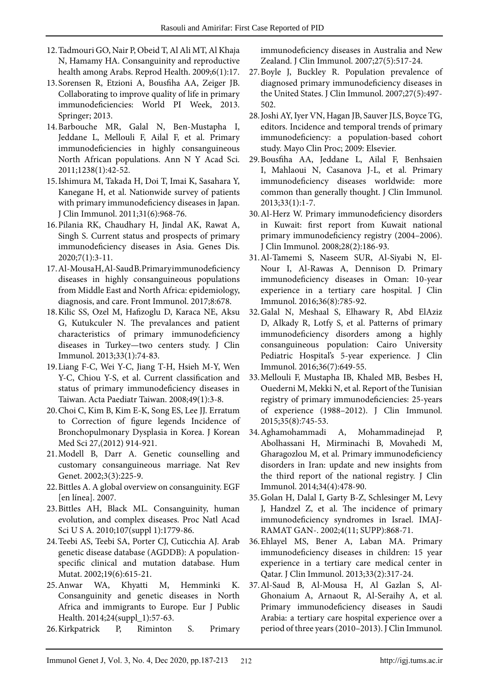- 12.Tadmouri GO, Nair P, Obeid T, Al Ali MT, Al Khaja N, Hamamy HA. Consanguinity and reproductive health among Arabs. Reprod Health. 2009;6(1):17.
- 13.Sorensen R, Etzioni A, Bousfiha AA, Zeiger JB. Collaborating to improve quality of life in primary immunodeficiencies: World PI Week, 2013. Springer; 2013.
- 14.Barbouche MR, Galal N, Ben‐Mustapha I, Jeddane L, Mellouli F, Ailal F, et al. Primary immunodeficiencies in highly consanguineous North African populations. Ann N Y Acad Sci. 2011;1238(1):42-52.
- 15.Ishimura M, Takada H, Doi T, Imai K, Sasahara Y, Kanegane H, et al. Nationwide survey of patients with primary immunodeficiency diseases in Japan. J Clin Immunol. 2011;31(6):968-76.
- 16.Pilania RK, Chaudhary H, Jindal AK, Rawat A, Singh S. Current status and prospects of primary immunodeficiency diseases in Asia. Genes Dis. 2020;7(1):3-11.
- 17.Al-Mousa H, Al-Saud B. Primary immunodeficiency diseases in highly consanguineous populations from Middle East and North Africa: epidemiology, diagnosis, and care. Front Immunol. 2017;8:678.
- 18.Kilic SS, Ozel M, Hafizoglu D, Karaca NE, Aksu G, Kutukculer N. The prevalances and patient characteristics of primary immunodeficiency diseases in Turkey—two centers study. J Clin Immunol. 2013;33(1):74-83.
- 19.Liang F-C, Wei Y-C, Jiang T-H, Hsieh M-Y, Wen Y-C, Chiou Y-S, et al. Current classification and status of primary immunodeficiency diseases in Taiwan. Acta Paediatr Taiwan. 2008;49(1):3-8.
- 20.Choi C, Kim B, Kim E-K, Song ES, Lee JJ. Erratum to Correction of figure legends Incidence of Bronchopulmonary Dysplasia in Korea. J Korean Med Sci 27,(2012) 914-921.
- 21.Modell B, Darr A. Genetic counselling and customary consanguineous marriage. Nat Rev Genet. 2002;3(3):225-9.
- 22.Bittles A. A global overview on consanguinity. EGF [en línea]. 2007.
- 23.Bittles AH, Black ML. Consanguinity, human evolution, and complex diseases. Proc Natl Acad Sci U S A. 2010;107(suppl 1):1779-86.
- 24.Teebi AS, Teebi SA, Porter CJ, Cuticchia AJ. Arab genetic disease database (AGDDB): A population‐ specific clinical and mutation database. Hum Mutat. 2002;19(6):615-21.
- 25.Anwar WA, Khyatti M, Hemminki K. Consanguinity and genetic diseases in North Africa and immigrants to Europe. Eur J Public Health. 2014;24(suppl\_1):57-63.
- 26.Kirkpatrick P, Riminton S. Primary

immunodeficiency diseases in Australia and New Zealand. J Clin Immunol. 2007;27(5):517-24.

- 27.Boyle J, Buckley R. Population prevalence of diagnosed primary immunodeficiency diseases in the United States. J Clin Immunol. 2007;27(5):497- 502.
- 28.Joshi AY, Iyer VN, Hagan JB, Sauver JLS, Boyce TG, editors. Incidence and temporal trends of primary immunodeficiency: a population-based cohort study. Mayo Clin Proc; 2009: Elsevier.
- 29.Bousfiha AA, Jeddane L, Ailal F, Benhsaien I, Mahlaoui N, Casanova J-L, et al. Primary immunodeficiency diseases worldwide: more common than generally thought. J Clin Immunol. 2013;33(1):1-7.
- 30.Al-Herz W. Primary immunodeficiency disorders in Kuwait: first report from Kuwait national primary immunodeficiency registry (2004–2006). J Clin Immunol. 2008;28(2):186-93.
- 31.Al-Tamemi S, Naseem SUR, Al-Siyabi N, El-Nour I, Al-Rawas A, Dennison D. Primary immunodeficiency diseases in Oman: 10-year experience in a tertiary care hospital. J Clin Immunol. 2016;36(8):785-92.
- 32.Galal N, Meshaal S, Elhawary R, Abd ElAziz D, Alkady R, Lotfy S, et al. Patterns of primary immunodeficiency disorders among a highly consanguineous population: Cairo University Pediatric Hospital's 5-year experience. J Clin Immunol. 2016;36(7):649-55.
- 33.Mellouli F, Mustapha IB, Khaled MB, Besbes H, Ouederni M, Mekki N, et al. Report of the Tunisian registry of primary immunodeficiencies: 25-years of experience (1988–2012). J Clin Immunol. 2015;35(8):745-53.
- 34.Aghamohammadi A, Mohammadinejad P, Abolhassani H, Mirminachi B, Movahedi M, Gharagozlou M, et al. Primary immunodeficiency disorders in Iran: update and new insights from the third report of the national registry. J Clin Immunol. 2014;34(4):478-90.
- 35.Golan H, Dalal I, Garty B-Z, Schlesinger M, Levy J, Handzel Z, et al. The incidence of primary immunodeficiency syndromes in Israel. IMAJ-RAMAT GAN-. 2002;4(11; SUPP):868-71.
- 36.Ehlayel MS, Bener A, Laban MA. Primary immunodeficiency diseases in children: 15 year experience in a tertiary care medical center in Qatar. J Clin Immunol. 2013;33(2):317-24.
- 37.Al-Saud B, Al-Mousa H, Al Gazlan S, Al-Ghonaium A, Arnaout R, Al-Seraihy A, et al. Primary immunodeficiency diseases in Saudi Arabia: a tertiary care hospital experience over a period of three years (2010–2013). J Clin Immunol.